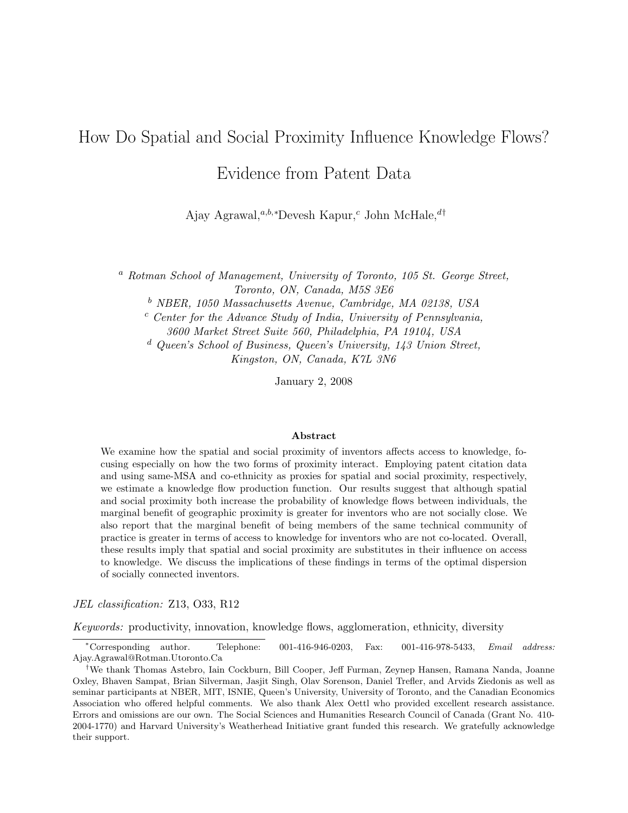# How Do Spatial and Social Proximity Influence Knowledge Flows?

## Evidence from Patent Data

Ajay Agrawal,<sup>a,b,∗</sup>Devesh Kapur,<sup>c</sup> John McHale,<sup>d†</sup>

<sup>a</sup> Rotman School of Management, University of Toronto, 105 St. George Street, Toronto, ON, Canada, M5S 3E6

<sup>b</sup> NBER, 1050 Massachusetts Avenue, Cambridge, MA 02138, USA

 $c$  Center for the Advance Study of India, University of Pennsylvania,

3600 Market Street Suite 560, Philadelphia, PA 19104, USA

<sup>d</sup> Queen's School of Business, Queen's University, 143 Union Street, Kingston, ON, Canada, K7L 3N6

January 2, 2008

#### Abstract

We examine how the spatial and social proximity of inventors affects access to knowledge, focusing especially on how the two forms of proximity interact. Employing patent citation data and using same-MSA and co-ethnicity as proxies for spatial and social proximity, respectively, we estimate a knowledge flow production function. Our results suggest that although spatial and social proximity both increase the probability of knowledge flows between individuals, the marginal benefit of geographic proximity is greater for inventors who are not socially close. We also report that the marginal benefit of being members of the same technical community of practice is greater in terms of access to knowledge for inventors who are not co-located. Overall, these results imply that spatial and social proximity are substitutes in their influence on access to knowledge. We discuss the implications of these findings in terms of the optimal dispersion of socially connected inventors.

#### JEL classification: Z13, O33, R12

Keywords: productivity, innovation, knowledge flows, agglomeration, ethnicity, diversity

<sup>∗</sup>Corresponding author. Telephone: 001-416-946-0203, Fax: 001-416-978-5433, Email address: Ajay.Agrawal@Rotman.Utoronto.Ca

<sup>†</sup>We thank Thomas Astebro, Iain Cockburn, Bill Cooper, Jeff Furman, Zeynep Hansen, Ramana Nanda, Joanne Oxley, Bhaven Sampat, Brian Silverman, Jasjit Singh, Olav Sorenson, Daniel Trefler, and Arvids Ziedonis as well as seminar participants at NBER, MIT, ISNIE, Queen's University, University of Toronto, and the Canadian Economics Association who offered helpful comments. We also thank Alex Oettl who provided excellent research assistance. Errors and omissions are our own. The Social Sciences and Humanities Research Council of Canada (Grant No. 410- 2004-1770) and Harvard University's Weatherhead Initiative grant funded this research. We gratefully acknowledge their support.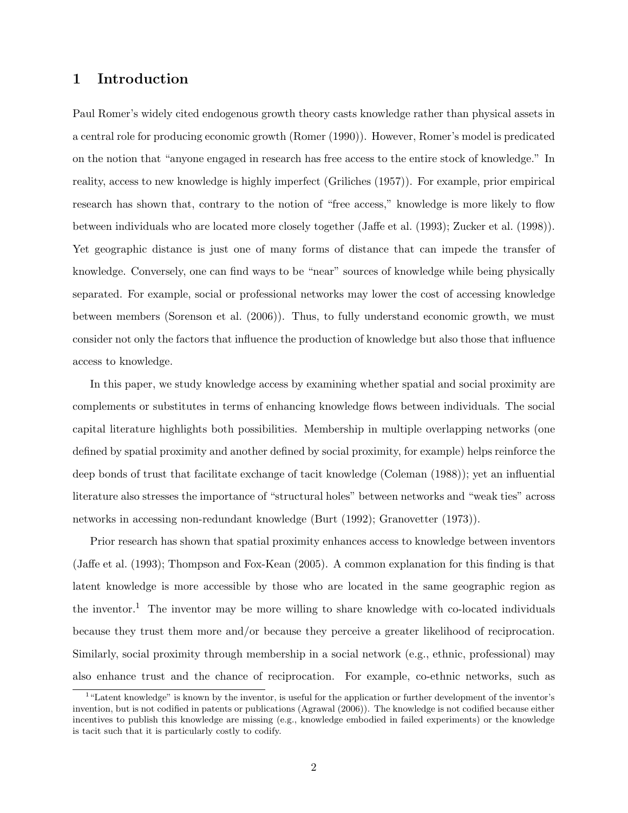## 1 Introduction

Paul Romer's widely cited endogenous growth theory casts knowledge rather than physical assets in a central role for producing economic growth (Romer (1990)). However, Romer's model is predicated on the notion that "anyone engaged in research has free access to the entire stock of knowledge." In reality, access to new knowledge is highly imperfect (Griliches (1957)). For example, prior empirical research has shown that, contrary to the notion of "free access," knowledge is more likely to flow between individuals who are located more closely together (Jaffe et al. (1993); Zucker et al. (1998)). Yet geographic distance is just one of many forms of distance that can impede the transfer of knowledge. Conversely, one can find ways to be "near" sources of knowledge while being physically separated. For example, social or professional networks may lower the cost of accessing knowledge between members (Sorenson et al. (2006)). Thus, to fully understand economic growth, we must consider not only the factors that influence the production of knowledge but also those that influence access to knowledge.

In this paper, we study knowledge access by examining whether spatial and social proximity are complements or substitutes in terms of enhancing knowledge flows between individuals. The social capital literature highlights both possibilities. Membership in multiple overlapping networks (one defined by spatial proximity and another defined by social proximity, for example) helps reinforce the deep bonds of trust that facilitate exchange of tacit knowledge (Coleman (1988)); yet an influential literature also stresses the importance of "structural holes" between networks and "weak ties" across networks in accessing non-redundant knowledge (Burt (1992); Granovetter (1973)).

Prior research has shown that spatial proximity enhances access to knowledge between inventors (Jaffe et al. (1993); Thompson and Fox-Kean (2005). A common explanation for this finding is that latent knowledge is more accessible by those who are located in the same geographic region as the inventor.<sup>1</sup> The inventor may be more willing to share knowledge with co-located individuals because they trust them more and/or because they perceive a greater likelihood of reciprocation. Similarly, social proximity through membership in a social network (e.g., ethnic, professional) may also enhance trust and the chance of reciprocation. For example, co-ethnic networks, such as

<sup>&</sup>lt;sup>1</sup> "Latent knowledge" is known by the inventor, is useful for the application or further development of the inventor's invention, but is not codified in patents or publications (Agrawal (2006)). The knowledge is not codified because either incentives to publish this knowledge are missing (e.g., knowledge embodied in failed experiments) or the knowledge is tacit such that it is particularly costly to codify.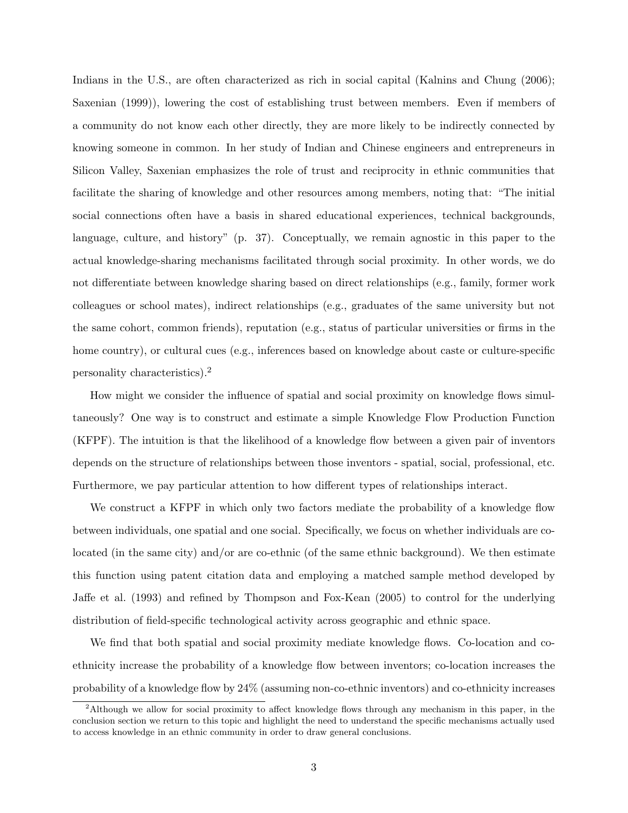Indians in the U.S., are often characterized as rich in social capital (Kalnins and Chung (2006); Saxenian (1999)), lowering the cost of establishing trust between members. Even if members of a community do not know each other directly, they are more likely to be indirectly connected by knowing someone in common. In her study of Indian and Chinese engineers and entrepreneurs in Silicon Valley, Saxenian emphasizes the role of trust and reciprocity in ethnic communities that facilitate the sharing of knowledge and other resources among members, noting that: "The initial social connections often have a basis in shared educational experiences, technical backgrounds, language, culture, and history" (p. 37). Conceptually, we remain agnostic in this paper to the actual knowledge-sharing mechanisms facilitated through social proximity. In other words, we do not differentiate between knowledge sharing based on direct relationships (e.g., family, former work colleagues or school mates), indirect relationships (e.g., graduates of the same university but not the same cohort, common friends), reputation (e.g., status of particular universities or firms in the home country), or cultural cues (e.g., inferences based on knowledge about caste or culture-specific personality characteristics).<sup>2</sup>

How might we consider the influence of spatial and social proximity on knowledge flows simultaneously? One way is to construct and estimate a simple Knowledge Flow Production Function (KFPF). The intuition is that the likelihood of a knowledge flow between a given pair of inventors depends on the structure of relationships between those inventors - spatial, social, professional, etc. Furthermore, we pay particular attention to how different types of relationships interact.

We construct a KFPF in which only two factors mediate the probability of a knowledge flow between individuals, one spatial and one social. Specifically, we focus on whether individuals are colocated (in the same city) and/or are co-ethnic (of the same ethnic background). We then estimate this function using patent citation data and employing a matched sample method developed by Jaffe et al. (1993) and refined by Thompson and Fox-Kean (2005) to control for the underlying distribution of field-specific technological activity across geographic and ethnic space.

We find that both spatial and social proximity mediate knowledge flows. Co-location and coethnicity increase the probability of a knowledge flow between inventors; co-location increases the probability of a knowledge flow by 24% (assuming non-co-ethnic inventors) and co-ethnicity increases

<sup>&</sup>lt;sup>2</sup>Although we allow for social proximity to affect knowledge flows through any mechanism in this paper, in the conclusion section we return to this topic and highlight the need to understand the specific mechanisms actually used to access knowledge in an ethnic community in order to draw general conclusions.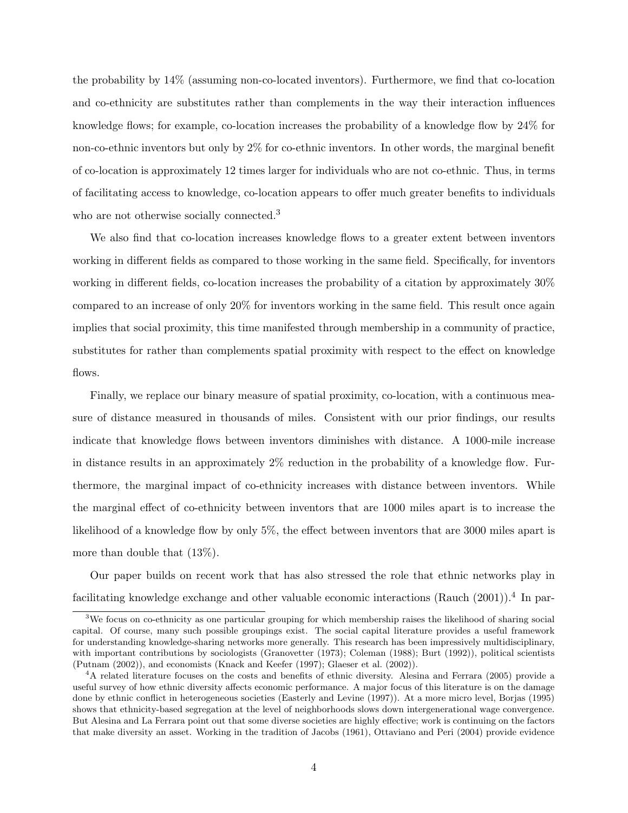the probability by 14% (assuming non-co-located inventors). Furthermore, we find that co-location and co-ethnicity are substitutes rather than complements in the way their interaction influences knowledge flows; for example, co-location increases the probability of a knowledge flow by 24% for non-co-ethnic inventors but only by 2% for co-ethnic inventors. In other words, the marginal benefit of co-location is approximately 12 times larger for individuals who are not co-ethnic. Thus, in terms of facilitating access to knowledge, co-location appears to offer much greater benefits to individuals who are not otherwise socially connected.<sup>3</sup>

We also find that co-location increases knowledge flows to a greater extent between inventors working in different fields as compared to those working in the same field. Specifically, for inventors working in different fields, co-location increases the probability of a citation by approximately 30% compared to an increase of only 20% for inventors working in the same field. This result once again implies that social proximity, this time manifested through membership in a community of practice, substitutes for rather than complements spatial proximity with respect to the effect on knowledge flows.

Finally, we replace our binary measure of spatial proximity, co-location, with a continuous measure of distance measured in thousands of miles. Consistent with our prior findings, our results indicate that knowledge flows between inventors diminishes with distance. A 1000-mile increase in distance results in an approximately 2% reduction in the probability of a knowledge flow. Furthermore, the marginal impact of co-ethnicity increases with distance between inventors. While the marginal effect of co-ethnicity between inventors that are 1000 miles apart is to increase the likelihood of a knowledge flow by only 5%, the effect between inventors that are 3000 miles apart is more than double that (13%).

Our paper builds on recent work that has also stressed the role that ethnic networks play in facilitating knowledge exchange and other valuable economic interactions (Rauch  $(2001)$ ).<sup>4</sup> In par-

<sup>&</sup>lt;sup>3</sup>We focus on co-ethnicity as one particular grouping for which membership raises the likelihood of sharing social capital. Of course, many such possible groupings exist. The social capital literature provides a useful framework for understanding knowledge-sharing networks more generally. This research has been impressively multidisciplinary, with important contributions by sociologists (Granovetter (1973); Coleman (1988); Burt (1992)), political scientists (Putnam (2002)), and economists (Knack and Keefer (1997); Glaeser et al. (2002)).

<sup>&</sup>lt;sup>4</sup>A related literature focuses on the costs and benefits of ethnic diversity. Alesina and Ferrara (2005) provide a useful survey of how ethnic diversity affects economic performance. A major focus of this literature is on the damage done by ethnic conflict in heterogeneous societies (Easterly and Levine (1997)). At a more micro level, Borjas (1995) shows that ethnicity-based segregation at the level of neighborhoods slows down intergenerational wage convergence. But Alesina and La Ferrara point out that some diverse societies are highly effective; work is continuing on the factors that make diversity an asset. Working in the tradition of Jacobs (1961), Ottaviano and Peri (2004) provide evidence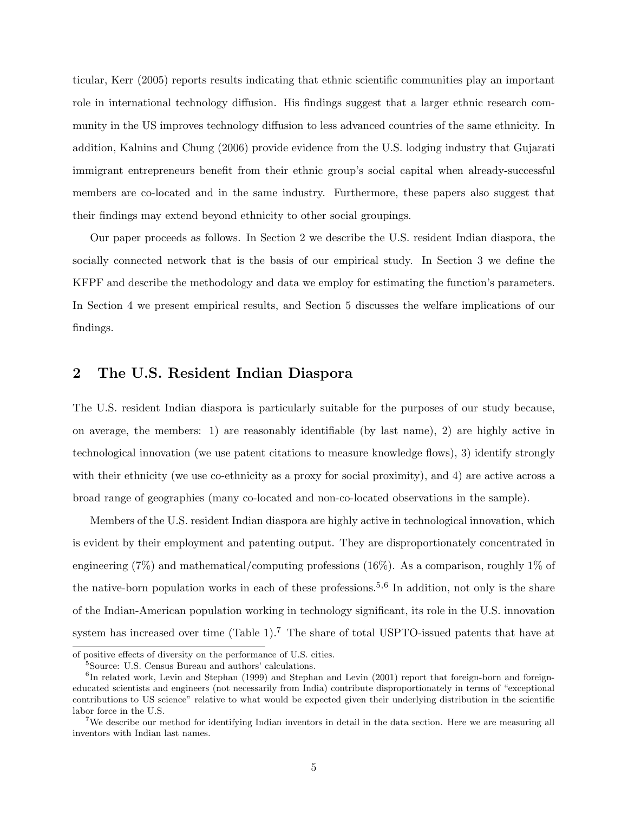ticular, Kerr (2005) reports results indicating that ethnic scientific communities play an important role in international technology diffusion. His findings suggest that a larger ethnic research community in the US improves technology diffusion to less advanced countries of the same ethnicity. In addition, Kalnins and Chung (2006) provide evidence from the U.S. lodging industry that Gujarati immigrant entrepreneurs benefit from their ethnic group's social capital when already-successful members are co-located and in the same industry. Furthermore, these papers also suggest that their findings may extend beyond ethnicity to other social groupings.

Our paper proceeds as follows. In Section 2 we describe the U.S. resident Indian diaspora, the socially connected network that is the basis of our empirical study. In Section 3 we define the KFPF and describe the methodology and data we employ for estimating the function's parameters. In Section 4 we present empirical results, and Section 5 discusses the welfare implications of our findings.

## 2 The U.S. Resident Indian Diaspora

The U.S. resident Indian diaspora is particularly suitable for the purposes of our study because, on average, the members: 1) are reasonably identifiable (by last name), 2) are highly active in technological innovation (we use patent citations to measure knowledge flows), 3) identify strongly with their ethnicity (we use co-ethnicity as a proxy for social proximity), and 4) are active across a broad range of geographies (many co-located and non-co-located observations in the sample).

Members of the U.S. resident Indian diaspora are highly active in technological innovation, which is evident by their employment and patenting output. They are disproportionately concentrated in engineering  $(7\%)$  and mathematical/computing professions  $(16\%)$ . As a comparison, roughly 1% of the native-born population works in each of these professions.<sup>5,6</sup> In addition, not only is the share of the Indian-American population working in technology significant, its role in the U.S. innovation system has increased over time  $(Table 1)$ .<sup>7</sup> The share of total USPTO-issued patents that have at

of positive effects of diversity on the performance of U.S. cities.

<sup>5</sup>Source: U.S. Census Bureau and authors' calculations.

<sup>&</sup>lt;sup>6</sup>In related work, Levin and Stephan (1999) and Stephan and Levin (2001) report that foreign-born and foreigneducated scientists and engineers (not necessarily from India) contribute disproportionately in terms of "exceptional contributions to US science" relative to what would be expected given their underlying distribution in the scientific labor force in the U.S.

<sup>&</sup>lt;sup>7</sup>We describe our method for identifying Indian inventors in detail in the data section. Here we are measuring all inventors with Indian last names.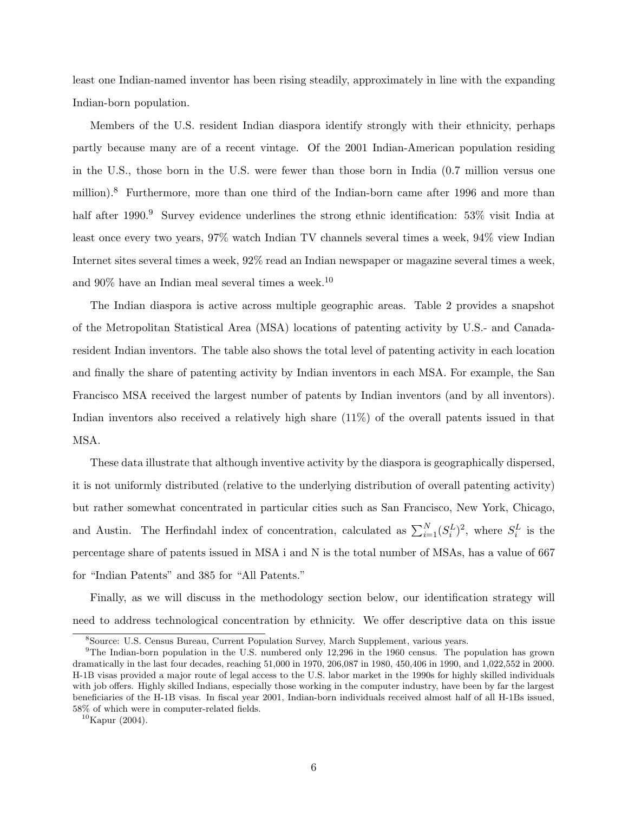least one Indian-named inventor has been rising steadily, approximately in line with the expanding Indian-born population.

Members of the U.S. resident Indian diaspora identify strongly with their ethnicity, perhaps partly because many are of a recent vintage. Of the 2001 Indian-American population residing in the U.S., those born in the U.S. were fewer than those born in India (0.7 million versus one million).<sup>8</sup> Furthermore, more than one third of the Indian-born came after 1996 and more than half after 1990.<sup>9</sup> Survey evidence underlines the strong ethnic identification: 53% visit India at least once every two years, 97% watch Indian TV channels several times a week, 94% view Indian Internet sites several times a week, 92% read an Indian newspaper or magazine several times a week, and 90% have an Indian meal several times a week.<sup>10</sup>

The Indian diaspora is active across multiple geographic areas. Table 2 provides a snapshot of the Metropolitan Statistical Area (MSA) locations of patenting activity by U.S.- and Canadaresident Indian inventors. The table also shows the total level of patenting activity in each location and finally the share of patenting activity by Indian inventors in each MSA. For example, the San Francisco MSA received the largest number of patents by Indian inventors (and by all inventors). Indian inventors also received a relatively high share (11%) of the overall patents issued in that MSA.

These data illustrate that although inventive activity by the diaspora is geographically dispersed, it is not uniformly distributed (relative to the underlying distribution of overall patenting activity) but rather somewhat concentrated in particular cities such as San Francisco, New York, Chicago, and Austin. The Herfindahl index of concentration, calculated as  $\sum_{i=1}^{N} (S_i^L)^2$ , where  $S_i^L$  is the percentage share of patents issued in MSA i and N is the total number of MSAs, has a value of 667 for "Indian Patents" and 385 for "All Patents."

Finally, as we will discuss in the methodology section below, our identification strategy will need to address technological concentration by ethnicity. We offer descriptive data on this issue

<sup>8</sup>Source: U.S. Census Bureau, Current Population Survey, March Supplement, various years.

 $9$ The Indian-born population in the U.S. numbered only 12,296 in the 1960 census. The population has grown dramatically in the last four decades, reaching 51,000 in 1970, 206,087 in 1980, 450,406 in 1990, and 1,022,552 in 2000. H-1B visas provided a major route of legal access to the U.S. labor market in the 1990s for highly skilled individuals with job offers. Highly skilled Indians, especially those working in the computer industry, have been by far the largest beneficiaries of the H-1B visas. In fiscal year 2001, Indian-born individuals received almost half of all H-1Bs issued, 58% of which were in computer-related fields.

 $10$ Kapur (2004).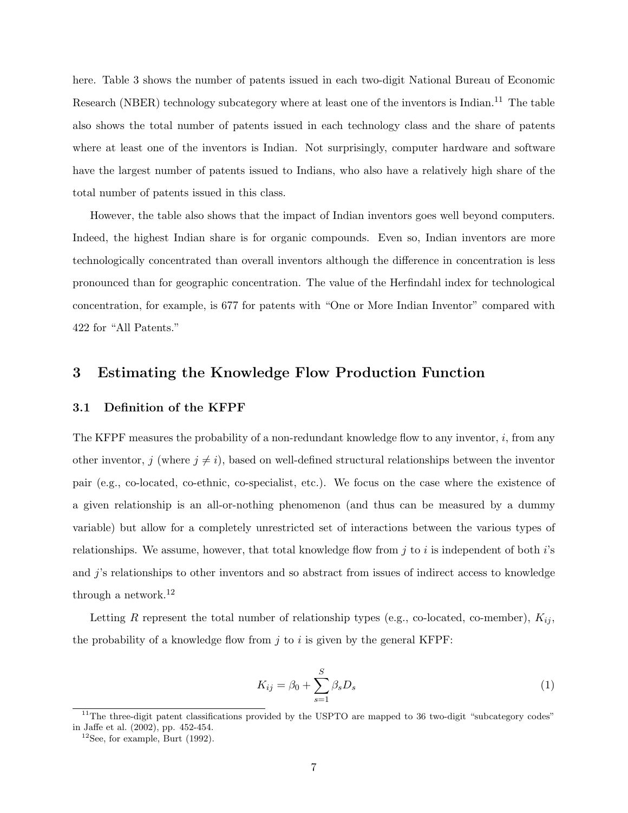here. Table 3 shows the number of patents issued in each two-digit National Bureau of Economic Research (NBER) technology subcategory where at least one of the inventors is Indian.<sup>11</sup> The table also shows the total number of patents issued in each technology class and the share of patents where at least one of the inventors is Indian. Not surprisingly, computer hardware and software have the largest number of patents issued to Indians, who also have a relatively high share of the total number of patents issued in this class.

However, the table also shows that the impact of Indian inventors goes well beyond computers. Indeed, the highest Indian share is for organic compounds. Even so, Indian inventors are more technologically concentrated than overall inventors although the difference in concentration is less pronounced than for geographic concentration. The value of the Herfindahl index for technological concentration, for example, is 677 for patents with "One or More Indian Inventor" compared with 422 for "All Patents."

### 3 Estimating the Knowledge Flow Production Function

#### 3.1 Definition of the KFPF

The KFPF measures the probability of a non-redundant knowledge flow to any inventor,  $i$ , from any other inventor, j (where  $j \neq i$ ), based on well-defined structural relationships between the inventor pair (e.g., co-located, co-ethnic, co-specialist, etc.). We focus on the case where the existence of a given relationship is an all-or-nothing phenomenon (and thus can be measured by a dummy variable) but allow for a completely unrestricted set of interactions between the various types of relationships. We assume, however, that total knowledge flow from  $i$  to  $i$  is independent of both  $i$ 's and j's relationships to other inventors and so abstract from issues of indirect access to knowledge through a network.<sup>12</sup>

Letting R represent the total number of relationship types (e.g., co-located, co-member),  $K_{ij}$ , the probability of a knowledge flow from  $j$  to  $i$  is given by the general KFPF:

$$
K_{ij} = \beta_0 + \sum_{s=1}^{S} \beta_s D_s \tag{1}
$$

<sup>&</sup>lt;sup>11</sup>The three-digit patent classifications provided by the USPTO are mapped to 36 two-digit "subcategory codes" in Jaffe et al. (2002), pp. 452-454.

 $12$ See, for example, Burt (1992).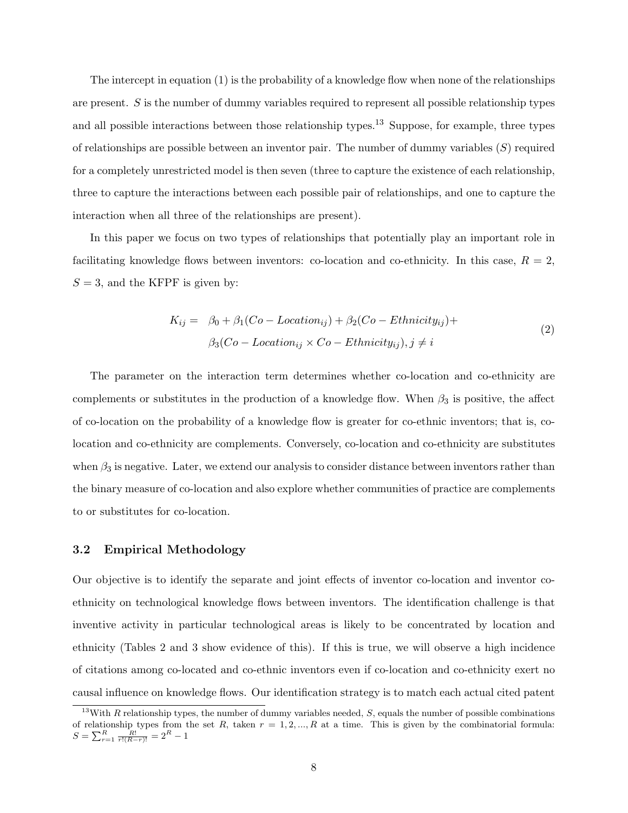The intercept in equation (1) is the probability of a knowledge flow when none of the relationships are present.  $S$  is the number of dummy variables required to represent all possible relationship types and all possible interactions between those relationship types.<sup>13</sup> Suppose, for example, three types of relationships are possible between an inventor pair. The number of dummy variables  $(S)$  required for a completely unrestricted model is then seven (three to capture the existence of each relationship, three to capture the interactions between each possible pair of relationships, and one to capture the interaction when all three of the relationships are present).

In this paper we focus on two types of relationships that potentially play an important role in facilitating knowledge flows between inventors: co-location and co-ethnicity. In this case,  $R = 2$ ,  $S = 3$ , and the KFPF is given by:

$$
K_{ij} = \beta_0 + \beta_1 (Co - Location_{ij}) + \beta_2 (Co - Ethnicity_{ij}) +
$$
  

$$
\beta_3 (Co - Location_{ij} \times Co - Ethnicity_{ij}), j \neq i
$$
 (2)

The parameter on the interaction term determines whether co-location and co-ethnicity are complements or substitutes in the production of a knowledge flow. When  $\beta_3$  is positive, the affect of co-location on the probability of a knowledge flow is greater for co-ethnic inventors; that is, colocation and co-ethnicity are complements. Conversely, co-location and co-ethnicity are substitutes when  $\beta_3$  is negative. Later, we extend our analysis to consider distance between inventors rather than the binary measure of co-location and also explore whether communities of practice are complements to or substitutes for co-location.

#### 3.2 Empirical Methodology

Our objective is to identify the separate and joint effects of inventor co-location and inventor coethnicity on technological knowledge flows between inventors. The identification challenge is that inventive activity in particular technological areas is likely to be concentrated by location and ethnicity (Tables 2 and 3 show evidence of this). If this is true, we will observe a high incidence of citations among co-located and co-ethnic inventors even if co-location and co-ethnicity exert no causal influence on knowledge flows. Our identification strategy is to match each actual cited patent

<sup>&</sup>lt;sup>13</sup>With R relationship types, the number of dummy variables needed,  $S$ , equals the number of possible combinations of relationship types from the set R, taken  $r = 1, 2, ..., R$  at a time. This is given by the combinatorial formula:  $S = \sum_{r=1}^{R} \frac{R!}{r!(R-r)!} = 2^R - 1$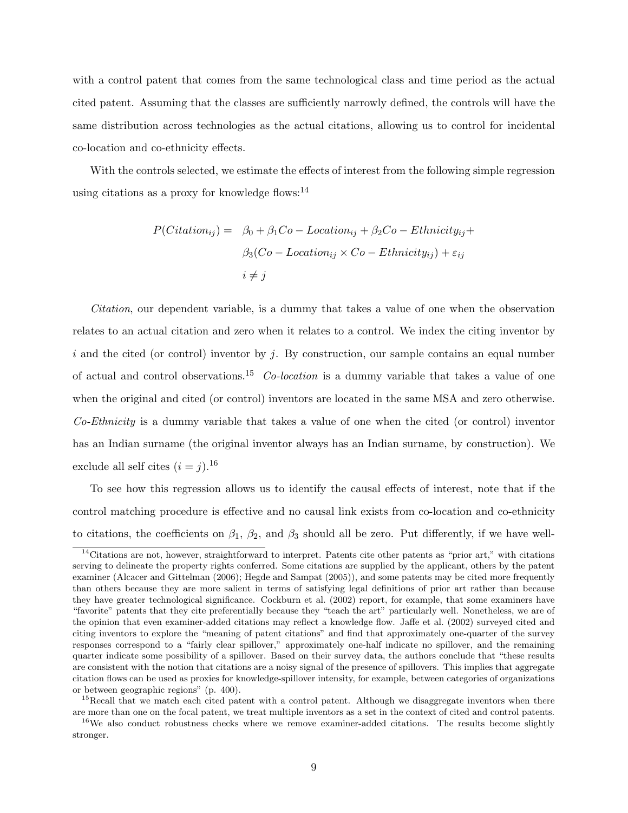with a control patent that comes from the same technological class and time period as the actual cited patent. Assuming that the classes are sufficiently narrowly defined, the controls will have the same distribution across technologies as the actual citations, allowing us to control for incidental co-location and co-ethnicity effects.

With the controls selected, we estimate the effects of interest from the following simple regression using citations as a proxy for knowledge flows: $^{14}$ 

$$
P(Citation_{ij}) = \beta_0 + \beta_1 Co - Location_{ij} + \beta_2 Co - Ethnicity_{ij} +
$$

$$
\beta_3 (Co - Location_{ij} \times Co - Ethnicity_{ij}) + \varepsilon_{ij}
$$

$$
i \neq j
$$

Citation, our dependent variable, is a dummy that takes a value of one when the observation relates to an actual citation and zero when it relates to a control. We index the citing inventor by i and the cited (or control) inventor by j. By construction, our sample contains an equal number of actual and control observations.<sup>15</sup> Co-location is a dummy variable that takes a value of one when the original and cited (or control) inventors are located in the same MSA and zero otherwise. Co-Ethnicity is a dummy variable that takes a value of one when the cited (or control) inventor has an Indian surname (the original inventor always has an Indian surname, by construction). We exclude all self cites  $(i = j)$ .<sup>16</sup>

To see how this regression allows us to identify the causal effects of interest, note that if the control matching procedure is effective and no causal link exists from co-location and co-ethnicity to citations, the coefficients on  $\beta_1$ ,  $\beta_2$ , and  $\beta_3$  should all be zero. Put differently, if we have well-

 $14$ Citations are not, however, straightforward to interpret. Patents cite other patents as "prior art," with citations serving to delineate the property rights conferred. Some citations are supplied by the applicant, others by the patent examiner (Alcacer and Gittelman (2006); Hegde and Sampat (2005)), and some patents may be cited more frequently than others because they are more salient in terms of satisfying legal definitions of prior art rather than because they have greater technological significance. Cockburn et al. (2002) report, for example, that some examiners have "favorite" patents that they cite preferentially because they "teach the art" particularly well. Nonetheless, we are of the opinion that even examiner-added citations may reflect a knowledge flow. Jaffe et al. (2002) surveyed cited and citing inventors to explore the "meaning of patent citations" and find that approximately one-quarter of the survey responses correspond to a "fairly clear spillover," approximately one-half indicate no spillover, and the remaining quarter indicate some possibility of a spillover. Based on their survey data, the authors conclude that "these results are consistent with the notion that citations are a noisy signal of the presence of spillovers. This implies that aggregate citation flows can be used as proxies for knowledge-spillover intensity, for example, between categories of organizations or between geographic regions" (p. 400).

 $15$ Recall that we match each cited patent with a control patent. Although we disaggregate inventors when there are more than one on the focal patent, we treat multiple inventors as a set in the context of cited and control patents.

<sup>&</sup>lt;sup>16</sup>We also conduct robustness checks where we remove examiner-added citations. The results become slightly stronger.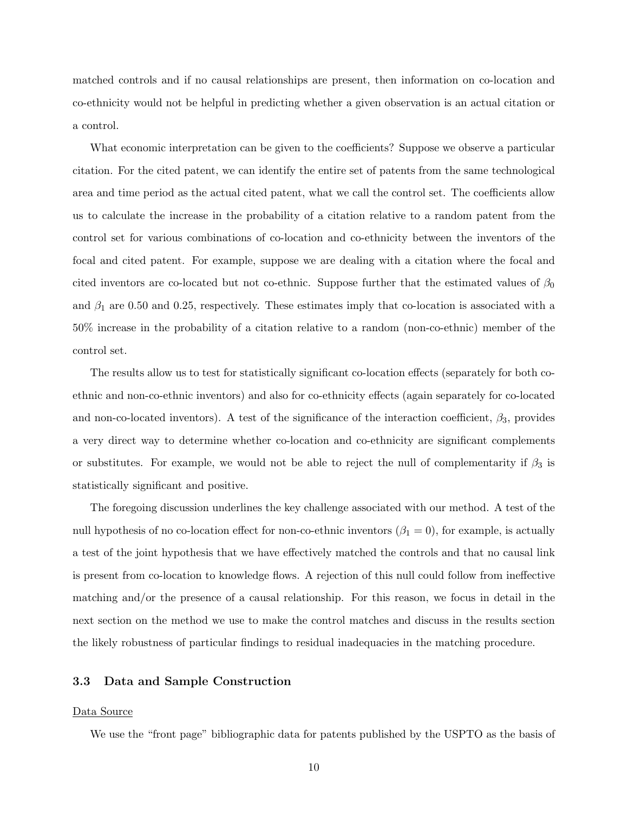matched controls and if no causal relationships are present, then information on co-location and co-ethnicity would not be helpful in predicting whether a given observation is an actual citation or a control.

What economic interpretation can be given to the coefficients? Suppose we observe a particular citation. For the cited patent, we can identify the entire set of patents from the same technological area and time period as the actual cited patent, what we call the control set. The coefficients allow us to calculate the increase in the probability of a citation relative to a random patent from the control set for various combinations of co-location and co-ethnicity between the inventors of the focal and cited patent. For example, suppose we are dealing with a citation where the focal and cited inventors are co-located but not co-ethnic. Suppose further that the estimated values of  $\beta_0$ and  $\beta_1$  are 0.50 and 0.25, respectively. These estimates imply that co-location is associated with a 50% increase in the probability of a citation relative to a random (non-co-ethnic) member of the control set.

The results allow us to test for statistically significant co-location effects (separately for both coethnic and non-co-ethnic inventors) and also for co-ethnicity effects (again separately for co-located and non-co-located inventors). A test of the significance of the interaction coefficient,  $\beta_3$ , provides a very direct way to determine whether co-location and co-ethnicity are significant complements or substitutes. For example, we would not be able to reject the null of complementarity if  $\beta_3$  is statistically significant and positive.

The foregoing discussion underlines the key challenge associated with our method. A test of the null hypothesis of no co-location effect for non-co-ethnic inventors  $(\beta_1 = 0)$ , for example, is actually a test of the joint hypothesis that we have effectively matched the controls and that no causal link is present from co-location to knowledge flows. A rejection of this null could follow from ineffective matching and/or the presence of a causal relationship. For this reason, we focus in detail in the next section on the method we use to make the control matches and discuss in the results section the likely robustness of particular findings to residual inadequacies in the matching procedure.

#### 3.3 Data and Sample Construction

#### Data Source

We use the "front page" bibliographic data for patents published by the USPTO as the basis of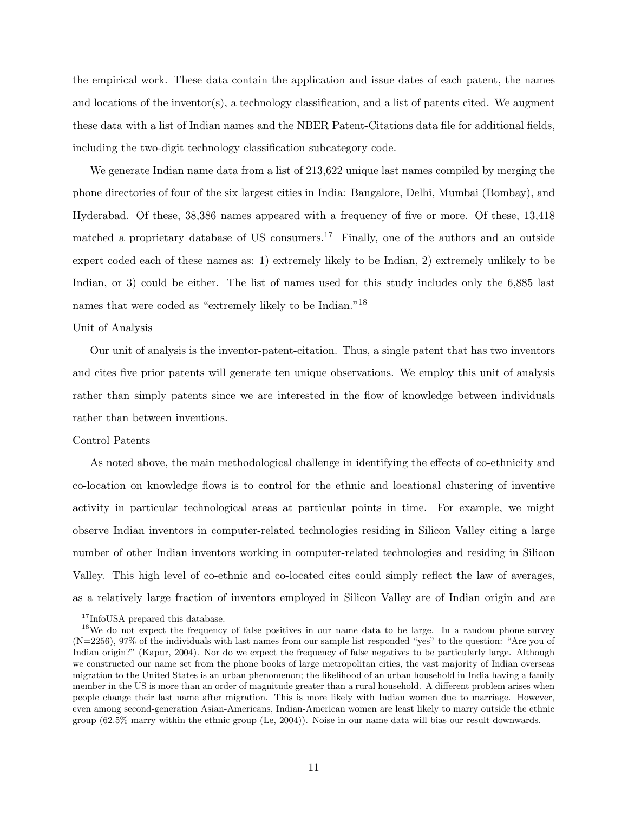the empirical work. These data contain the application and issue dates of each patent, the names and locations of the inventor(s), a technology classification, and a list of patents cited. We augment these data with a list of Indian names and the NBER Patent-Citations data file for additional fields, including the two-digit technology classification subcategory code.

We generate Indian name data from a list of 213,622 unique last names compiled by merging the phone directories of four of the six largest cities in India: Bangalore, Delhi, Mumbai (Bombay), and Hyderabad. Of these, 38,386 names appeared with a frequency of five or more. Of these, 13,418 matched a proprietary database of US consumers.<sup>17</sup> Finally, one of the authors and an outside expert coded each of these names as: 1) extremely likely to be Indian, 2) extremely unlikely to be Indian, or 3) could be either. The list of names used for this study includes only the 6,885 last names that were coded as "extremely likely to be Indian."<sup>18</sup>

#### Unit of Analysis

Our unit of analysis is the inventor-patent-citation. Thus, a single patent that has two inventors and cites five prior patents will generate ten unique observations. We employ this unit of analysis rather than simply patents since we are interested in the flow of knowledge between individuals rather than between inventions.

#### Control Patents

As noted above, the main methodological challenge in identifying the effects of co-ethnicity and co-location on knowledge flows is to control for the ethnic and locational clustering of inventive activity in particular technological areas at particular points in time. For example, we might observe Indian inventors in computer-related technologies residing in Silicon Valley citing a large number of other Indian inventors working in computer-related technologies and residing in Silicon Valley. This high level of co-ethnic and co-located cites could simply reflect the law of averages, as a relatively large fraction of inventors employed in Silicon Valley are of Indian origin and are

<sup>&</sup>lt;sup>17</sup>InfoUSA prepared this database.

<sup>&</sup>lt;sup>18</sup>We do not expect the frequency of false positives in our name data to be large. In a random phone survey (N=2256), 97% of the individuals with last names from our sample list responded "yes" to the question: "Are you of Indian origin?" (Kapur, 2004). Nor do we expect the frequency of false negatives to be particularly large. Although we constructed our name set from the phone books of large metropolitan cities, the vast majority of Indian overseas migration to the United States is an urban phenomenon; the likelihood of an urban household in India having a family member in the US is more than an order of magnitude greater than a rural household. A different problem arises when people change their last name after migration. This is more likely with Indian women due to marriage. However, even among second-generation Asian-Americans, Indian-American women are least likely to marry outside the ethnic group (62.5% marry within the ethnic group (Le, 2004)). Noise in our name data will bias our result downwards.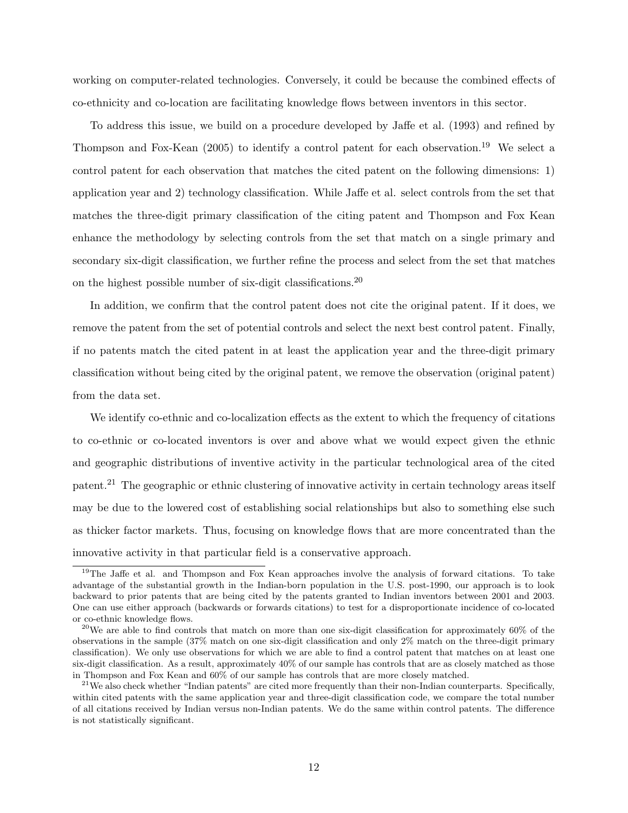working on computer-related technologies. Conversely, it could be because the combined effects of co-ethnicity and co-location are facilitating knowledge flows between inventors in this sector.

To address this issue, we build on a procedure developed by Jaffe et al. (1993) and refined by Thompson and Fox-Kean  $(2005)$  to identify a control patent for each observation.<sup>19</sup> We select a control patent for each observation that matches the cited patent on the following dimensions: 1) application year and 2) technology classification. While Jaffe et al. select controls from the set that matches the three-digit primary classification of the citing patent and Thompson and Fox Kean enhance the methodology by selecting controls from the set that match on a single primary and secondary six-digit classification, we further refine the process and select from the set that matches on the highest possible number of six-digit classifications.<sup>20</sup>

In addition, we confirm that the control patent does not cite the original patent. If it does, we remove the patent from the set of potential controls and select the next best control patent. Finally, if no patents match the cited patent in at least the application year and the three-digit primary classification without being cited by the original patent, we remove the observation (original patent) from the data set.

We identify co-ethnic and co-localization effects as the extent to which the frequency of citations to co-ethnic or co-located inventors is over and above what we would expect given the ethnic and geographic distributions of inventive activity in the particular technological area of the cited patent.<sup>21</sup> The geographic or ethnic clustering of innovative activity in certain technology areas itself may be due to the lowered cost of establishing social relationships but also to something else such as thicker factor markets. Thus, focusing on knowledge flows that are more concentrated than the innovative activity in that particular field is a conservative approach.

<sup>&</sup>lt;sup>19</sup>The Jaffe et al. and Thompson and Fox Kean approaches involve the analysis of forward citations. To take advantage of the substantial growth in the Indian-born population in the U.S. post-1990, our approach is to look backward to prior patents that are being cited by the patents granted to Indian inventors between 2001 and 2003. One can use either approach (backwards or forwards citations) to test for a disproportionate incidence of co-located or co-ethnic knowledge flows.

<sup>&</sup>lt;sup>20</sup>We are able to find controls that match on more than one six-digit classification for approximately  $60\%$  of the observations in the sample (37% match on one six-digit classification and only 2% match on the three-digit primary classification). We only use observations for which we are able to find a control patent that matches on at least one six-digit classification. As a result, approximately 40% of our sample has controls that are as closely matched as those in Thompson and Fox Kean and 60% of our sample has controls that are more closely matched.

 $21$ We also check whether "Indian patents" are cited more frequently than their non-Indian counterparts. Specifically, within cited patents with the same application year and three-digit classification code, we compare the total number of all citations received by Indian versus non-Indian patents. We do the same within control patents. The difference is not statistically significant.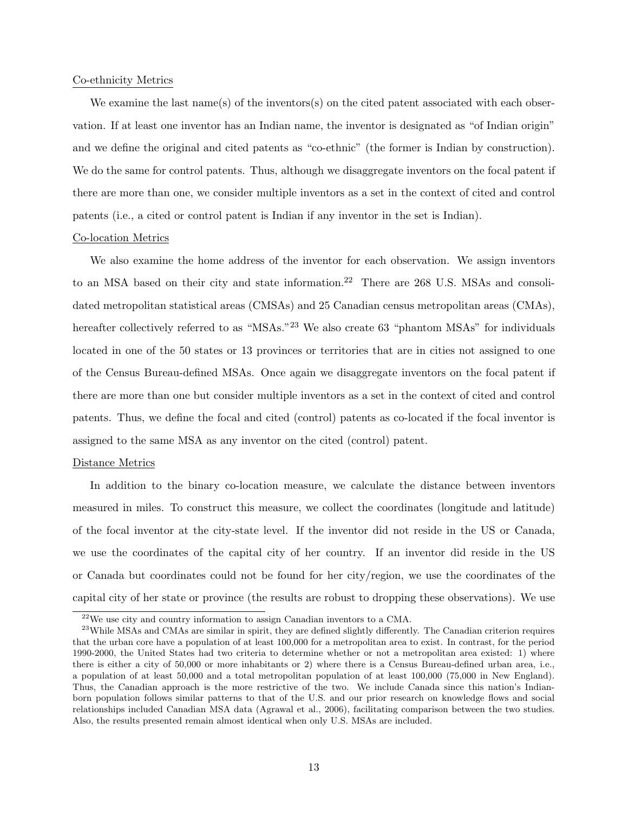#### Co-ethnicity Metrics

We examine the last name(s) of the inventors(s) on the cited patent associated with each observation. If at least one inventor has an Indian name, the inventor is designated as "of Indian origin" and we define the original and cited patents as "co-ethnic" (the former is Indian by construction). We do the same for control patents. Thus, although we disaggregate inventors on the focal patent if there are more than one, we consider multiple inventors as a set in the context of cited and control patents (i.e., a cited or control patent is Indian if any inventor in the set is Indian).

#### Co-location Metrics

We also examine the home address of the inventor for each observation. We assign inventors to an MSA based on their city and state information.<sup>22</sup> There are 268 U.S. MSAs and consolidated metropolitan statistical areas (CMSAs) and 25 Canadian census metropolitan areas (CMAs), hereafter collectively referred to as "MSAs."<sup>23</sup> We also create 63 "phantom MSAs" for individuals located in one of the 50 states or 13 provinces or territories that are in cities not assigned to one of the Census Bureau-defined MSAs. Once again we disaggregate inventors on the focal patent if there are more than one but consider multiple inventors as a set in the context of cited and control patents. Thus, we define the focal and cited (control) patents as co-located if the focal inventor is assigned to the same MSA as any inventor on the cited (control) patent.

#### Distance Metrics

In addition to the binary co-location measure, we calculate the distance between inventors measured in miles. To construct this measure, we collect the coordinates (longitude and latitude) of the focal inventor at the city-state level. If the inventor did not reside in the US or Canada, we use the coordinates of the capital city of her country. If an inventor did reside in the US or Canada but coordinates could not be found for her city/region, we use the coordinates of the capital city of her state or province (the results are robust to dropping these observations). We use

 $^{22}\mathrm{We}$  use city and country information to assign Canadian inventors to a CMA.

<sup>&</sup>lt;sup>23</sup>While MSAs and CMAs are similar in spirit, they are defined slightly differently. The Canadian criterion requires that the urban core have a population of at least 100,000 for a metropolitan area to exist. In contrast, for the period 1990-2000, the United States had two criteria to determine whether or not a metropolitan area existed: 1) where there is either a city of 50,000 or more inhabitants or 2) where there is a Census Bureau-defined urban area, i.e., a population of at least 50,000 and a total metropolitan population of at least 100,000 (75,000 in New England). Thus, the Canadian approach is the more restrictive of the two. We include Canada since this nation's Indianborn population follows similar patterns to that of the U.S. and our prior research on knowledge flows and social relationships included Canadian MSA data (Agrawal et al., 2006), facilitating comparison between the two studies. Also, the results presented remain almost identical when only U.S. MSAs are included.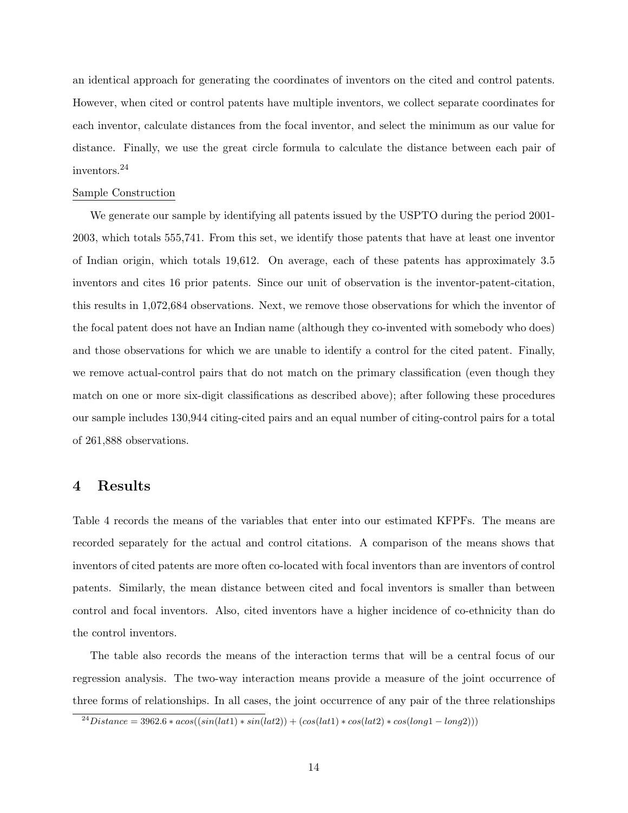an identical approach for generating the coordinates of inventors on the cited and control patents. However, when cited or control patents have multiple inventors, we collect separate coordinates for each inventor, calculate distances from the focal inventor, and select the minimum as our value for distance. Finally, we use the great circle formula to calculate the distance between each pair of inventors.<sup>24</sup>

#### Sample Construction

We generate our sample by identifying all patents issued by the USPTO during the period 2001-2003, which totals 555,741. From this set, we identify those patents that have at least one inventor of Indian origin, which totals 19,612. On average, each of these patents has approximately 3.5 inventors and cites 16 prior patents. Since our unit of observation is the inventor-patent-citation, this results in 1,072,684 observations. Next, we remove those observations for which the inventor of the focal patent does not have an Indian name (although they co-invented with somebody who does) and those observations for which we are unable to identify a control for the cited patent. Finally, we remove actual-control pairs that do not match on the primary classification (even though they match on one or more six-digit classifications as described above); after following these procedures our sample includes 130,944 citing-cited pairs and an equal number of citing-control pairs for a total of 261,888 observations.

## 4 Results

Table 4 records the means of the variables that enter into our estimated KFPFs. The means are recorded separately for the actual and control citations. A comparison of the means shows that inventors of cited patents are more often co-located with focal inventors than are inventors of control patents. Similarly, the mean distance between cited and focal inventors is smaller than between control and focal inventors. Also, cited inventors have a higher incidence of co-ethnicity than do the control inventors.

The table also records the means of the interaction terms that will be a central focus of our regression analysis. The two-way interaction means provide a measure of the joint occurrence of three forms of relationships. In all cases, the joint occurrence of any pair of the three relationships

<sup>&</sup>lt;sup>24</sup>Distance = 3962.6 \* acos((sin(lat1) \* sin(lat2)) + (cos(lat1) \* cos(lat2) \* cos(long1 − long2)))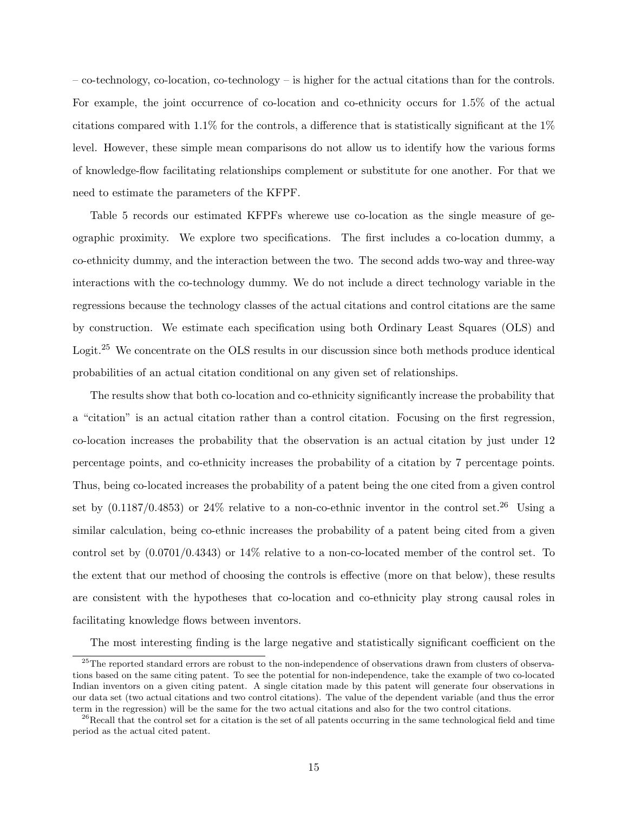– co-technology, co-location, co-technology – is higher for the actual citations than for the controls. For example, the joint occurrence of co-location and co-ethnicity occurs for 1.5% of the actual citations compared with  $1.1\%$  for the controls, a difference that is statistically significant at the  $1\%$ level. However, these simple mean comparisons do not allow us to identify how the various forms of knowledge-flow facilitating relationships complement or substitute for one another. For that we need to estimate the parameters of the KFPF.

Table 5 records our estimated KFPFs wherewe use co-location as the single measure of geographic proximity. We explore two specifications. The first includes a co-location dummy, a co-ethnicity dummy, and the interaction between the two. The second adds two-way and three-way interactions with the co-technology dummy. We do not include a direct technology variable in the regressions because the technology classes of the actual citations and control citations are the same by construction. We estimate each specification using both Ordinary Least Squares (OLS) and Logit.<sup>25</sup> We concentrate on the OLS results in our discussion since both methods produce identical probabilities of an actual citation conditional on any given set of relationships.

The results show that both co-location and co-ethnicity significantly increase the probability that a "citation" is an actual citation rather than a control citation. Focusing on the first regression, co-location increases the probability that the observation is an actual citation by just under 12 percentage points, and co-ethnicity increases the probability of a citation by 7 percentage points. Thus, being co-located increases the probability of a patent being the one cited from a given control set by  $(0.1187/0.4853)$  or  $24\%$  relative to a non-co-ethnic inventor in the control set.<sup>26</sup> Using a similar calculation, being co-ethnic increases the probability of a patent being cited from a given control set by (0.0701/0.4343) or 14% relative to a non-co-located member of the control set. To the extent that our method of choosing the controls is effective (more on that below), these results are consistent with the hypotheses that co-location and co-ethnicity play strong causal roles in facilitating knowledge flows between inventors.

The most interesting finding is the large negative and statistically significant coefficient on the

 $25$ The reported standard errors are robust to the non-independence of observations drawn from clusters of observations based on the same citing patent. To see the potential for non-independence, take the example of two co-located Indian inventors on a given citing patent. A single citation made by this patent will generate four observations in our data set (two actual citations and two control citations). The value of the dependent variable (and thus the error term in the regression) will be the same for the two actual citations and also for the two control citations.

 $^{26}$ Recall that the control set for a citation is the set of all patents occurring in the same technological field and time period as the actual cited patent.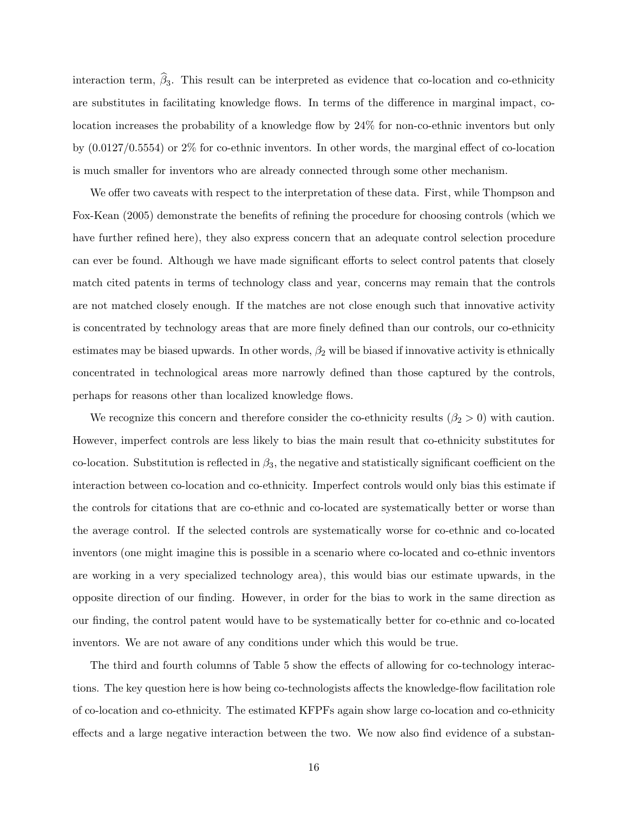interaction term,  $\hat{\beta}_3$ . This result can be interpreted as evidence that co-location and co-ethnicity are substitutes in facilitating knowledge flows. In terms of the difference in marginal impact, colocation increases the probability of a knowledge flow by 24% for non-co-ethnic inventors but only by (0.0127/0.5554) or 2% for co-ethnic inventors. In other words, the marginal effect of co-location is much smaller for inventors who are already connected through some other mechanism.

We offer two caveats with respect to the interpretation of these data. First, while Thompson and Fox-Kean (2005) demonstrate the benefits of refining the procedure for choosing controls (which we have further refined here), they also express concern that an adequate control selection procedure can ever be found. Although we have made significant efforts to select control patents that closely match cited patents in terms of technology class and year, concerns may remain that the controls are not matched closely enough. If the matches are not close enough such that innovative activity is concentrated by technology areas that are more finely defined than our controls, our co-ethnicity estimates may be biased upwards. In other words,  $\beta_2$  will be biased if innovative activity is ethnically concentrated in technological areas more narrowly defined than those captured by the controls, perhaps for reasons other than localized knowledge flows.

We recognize this concern and therefore consider the co-ethnicity results ( $\beta_2 > 0$ ) with caution. However, imperfect controls are less likely to bias the main result that co-ethnicity substitutes for co-location. Substitution is reflected in  $\beta_3$ , the negative and statistically significant coefficient on the interaction between co-location and co-ethnicity. Imperfect controls would only bias this estimate if the controls for citations that are co-ethnic and co-located are systematically better or worse than the average control. If the selected controls are systematically worse for co-ethnic and co-located inventors (one might imagine this is possible in a scenario where co-located and co-ethnic inventors are working in a very specialized technology area), this would bias our estimate upwards, in the opposite direction of our finding. However, in order for the bias to work in the same direction as our finding, the control patent would have to be systematically better for co-ethnic and co-located inventors. We are not aware of any conditions under which this would be true.

The third and fourth columns of Table 5 show the effects of allowing for co-technology interactions. The key question here is how being co-technologists affects the knowledge-flow facilitation role of co-location and co-ethnicity. The estimated KFPFs again show large co-location and co-ethnicity effects and a large negative interaction between the two. We now also find evidence of a substan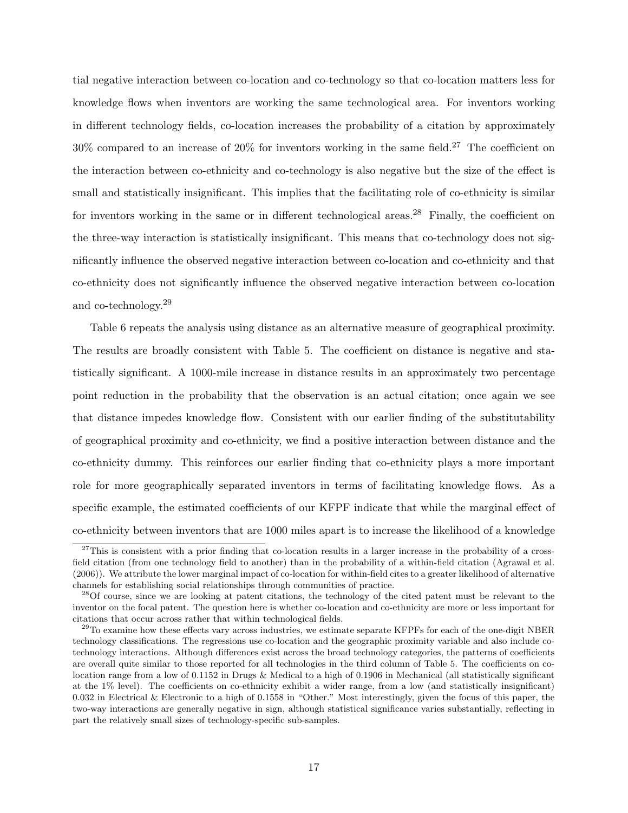tial negative interaction between co-location and co-technology so that co-location matters less for knowledge flows when inventors are working the same technological area. For inventors working in different technology fields, co-location increases the probability of a citation by approximately  $30\%$  compared to an increase of  $20\%$  for inventors working in the same field.<sup>27</sup> The coefficient on the interaction between co-ethnicity and co-technology is also negative but the size of the effect is small and statistically insignificant. This implies that the facilitating role of co-ethnicity is similar for inventors working in the same or in different technological areas.<sup>28</sup> Finally, the coefficient on the three-way interaction is statistically insignificant. This means that co-technology does not significantly influence the observed negative interaction between co-location and co-ethnicity and that co-ethnicity does not significantly influence the observed negative interaction between co-location and co-technology.<sup>29</sup>

Table 6 repeats the analysis using distance as an alternative measure of geographical proximity. The results are broadly consistent with Table 5. The coefficient on distance is negative and statistically significant. A 1000-mile increase in distance results in an approximately two percentage point reduction in the probability that the observation is an actual citation; once again we see that distance impedes knowledge flow. Consistent with our earlier finding of the substitutability of geographical proximity and co-ethnicity, we find a positive interaction between distance and the co-ethnicity dummy. This reinforces our earlier finding that co-ethnicity plays a more important role for more geographically separated inventors in terms of facilitating knowledge flows. As a specific example, the estimated coefficients of our KFPF indicate that while the marginal effect of co-ethnicity between inventors that are 1000 miles apart is to increase the likelihood of a knowledge

 $27$ This is consistent with a prior finding that co-location results in a larger increase in the probability of a crossfield citation (from one technology field to another) than in the probability of a within-field citation (Agrawal et al. (2006)). We attribute the lower marginal impact of co-location for within-field cites to a greater likelihood of alternative channels for establishing social relationships through communities of practice.

<sup>&</sup>lt;sup>28</sup>Of course, since we are looking at patent citations, the technology of the cited patent must be relevant to the inventor on the focal patent. The question here is whether co-location and co-ethnicity are more or less important for citations that occur across rather that within technological fields.

 $^{29}$ To examine how these effects vary across industries, we estimate separate KFPFs for each of the one-digit NBER technology classifications. The regressions use co-location and the geographic proximity variable and also include cotechnology interactions. Although differences exist across the broad technology categories, the patterns of coefficients are overall quite similar to those reported for all technologies in the third column of Table 5. The coefficients on colocation range from a low of 0.1152 in Drugs & Medical to a high of 0.1906 in Mechanical (all statistically significant at the 1% level). The coefficients on co-ethnicity exhibit a wider range, from a low (and statistically insignificant) 0.032 in Electrical & Electronic to a high of 0.1558 in "Other." Most interestingly, given the focus of this paper, the two-way interactions are generally negative in sign, although statistical significance varies substantially, reflecting in part the relatively small sizes of technology-specific sub-samples.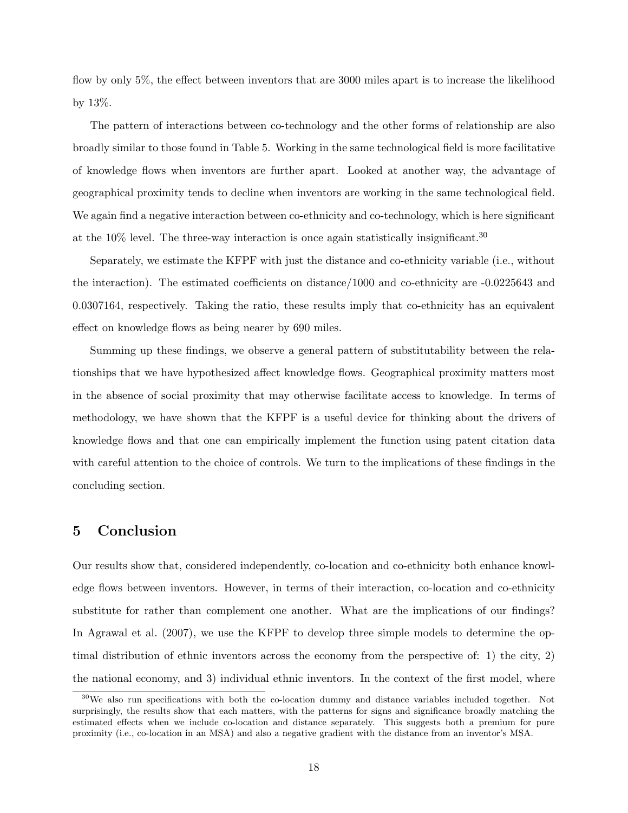flow by only 5%, the effect between inventors that are 3000 miles apart is to increase the likelihood by 13%.

The pattern of interactions between co-technology and the other forms of relationship are also broadly similar to those found in Table 5. Working in the same technological field is more facilitative of knowledge flows when inventors are further apart. Looked at another way, the advantage of geographical proximity tends to decline when inventors are working in the same technological field. We again find a negative interaction between co-ethnicity and co-technology, which is here significant at the 10% level. The three-way interaction is once again statistically insignificant.<sup>30</sup>

Separately, we estimate the KFPF with just the distance and co-ethnicity variable (i.e., without the interaction). The estimated coefficients on distance/1000 and co-ethnicity are -0.0225643 and 0.0307164, respectively. Taking the ratio, these results imply that co-ethnicity has an equivalent effect on knowledge flows as being nearer by 690 miles.

Summing up these findings, we observe a general pattern of substitutability between the relationships that we have hypothesized affect knowledge flows. Geographical proximity matters most in the absence of social proximity that may otherwise facilitate access to knowledge. In terms of methodology, we have shown that the KFPF is a useful device for thinking about the drivers of knowledge flows and that one can empirically implement the function using patent citation data with careful attention to the choice of controls. We turn to the implications of these findings in the concluding section.

## 5 Conclusion

Our results show that, considered independently, co-location and co-ethnicity both enhance knowledge flows between inventors. However, in terms of their interaction, co-location and co-ethnicity substitute for rather than complement one another. What are the implications of our findings? In Agrawal et al. (2007), we use the KFPF to develop three simple models to determine the optimal distribution of ethnic inventors across the economy from the perspective of: 1) the city, 2) the national economy, and 3) individual ethnic inventors. In the context of the first model, where

<sup>&</sup>lt;sup>30</sup>We also run specifications with both the co-location dummy and distance variables included together. Not surprisingly, the results show that each matters, with the patterns for signs and significance broadly matching the estimated effects when we include co-location and distance separately. This suggests both a premium for pure proximity (i.e., co-location in an MSA) and also a negative gradient with the distance from an inventor's MSA.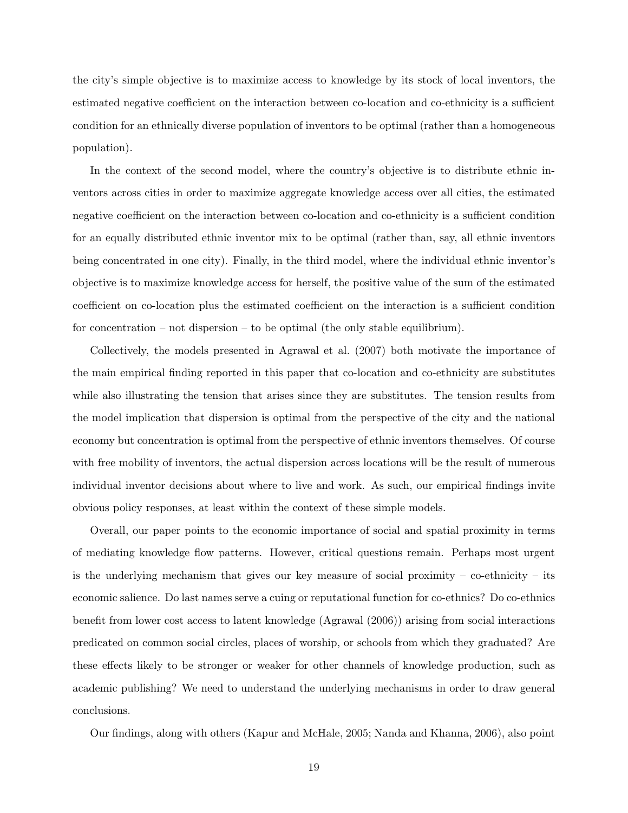the city's simple objective is to maximize access to knowledge by its stock of local inventors, the estimated negative coefficient on the interaction between co-location and co-ethnicity is a sufficient condition for an ethnically diverse population of inventors to be optimal (rather than a homogeneous population).

In the context of the second model, where the country's objective is to distribute ethnic inventors across cities in order to maximize aggregate knowledge access over all cities, the estimated negative coefficient on the interaction between co-location and co-ethnicity is a sufficient condition for an equally distributed ethnic inventor mix to be optimal (rather than, say, all ethnic inventors being concentrated in one city). Finally, in the third model, where the individual ethnic inventor's objective is to maximize knowledge access for herself, the positive value of the sum of the estimated coefficient on co-location plus the estimated coefficient on the interaction is a sufficient condition for concentration – not dispersion – to be optimal (the only stable equilibrium).

Collectively, the models presented in Agrawal et al. (2007) both motivate the importance of the main empirical finding reported in this paper that co-location and co-ethnicity are substitutes while also illustrating the tension that arises since they are substitutes. The tension results from the model implication that dispersion is optimal from the perspective of the city and the national economy but concentration is optimal from the perspective of ethnic inventors themselves. Of course with free mobility of inventors, the actual dispersion across locations will be the result of numerous individual inventor decisions about where to live and work. As such, our empirical findings invite obvious policy responses, at least within the context of these simple models.

Overall, our paper points to the economic importance of social and spatial proximity in terms of mediating knowledge flow patterns. However, critical questions remain. Perhaps most urgent is the underlying mechanism that gives our key measure of social proximity  $-$  co-ethnicity  $-$  its economic salience. Do last names serve a cuing or reputational function for co-ethnics? Do co-ethnics benefit from lower cost access to latent knowledge (Agrawal (2006)) arising from social interactions predicated on common social circles, places of worship, or schools from which they graduated? Are these effects likely to be stronger or weaker for other channels of knowledge production, such as academic publishing? We need to understand the underlying mechanisms in order to draw general conclusions.

Our findings, along with others (Kapur and McHale, 2005; Nanda and Khanna, 2006), also point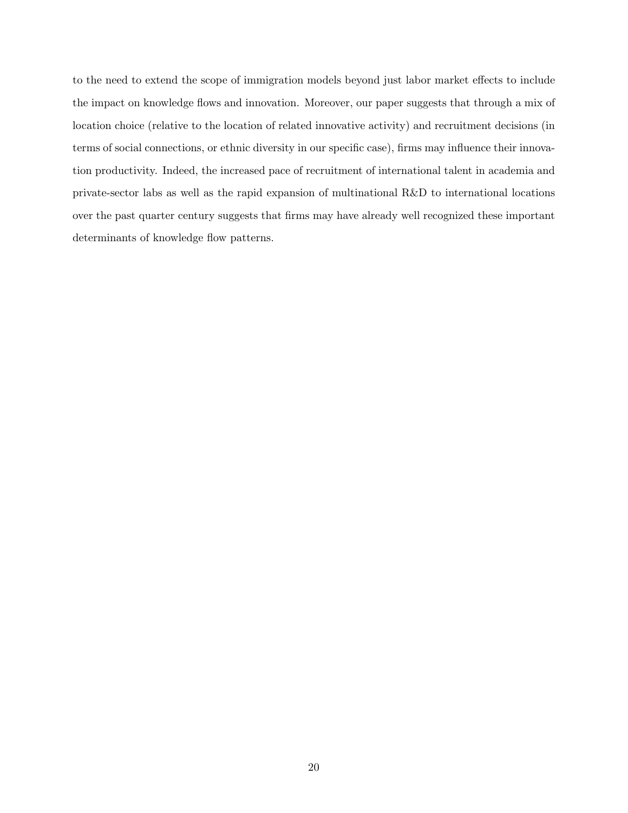to the need to extend the scope of immigration models beyond just labor market effects to include the impact on knowledge flows and innovation. Moreover, our paper suggests that through a mix of location choice (relative to the location of related innovative activity) and recruitment decisions (in terms of social connections, or ethnic diversity in our specific case), firms may influence their innovation productivity. Indeed, the increased pace of recruitment of international talent in academia and private-sector labs as well as the rapid expansion of multinational R&D to international locations over the past quarter century suggests that firms may have already well recognized these important determinants of knowledge flow patterns.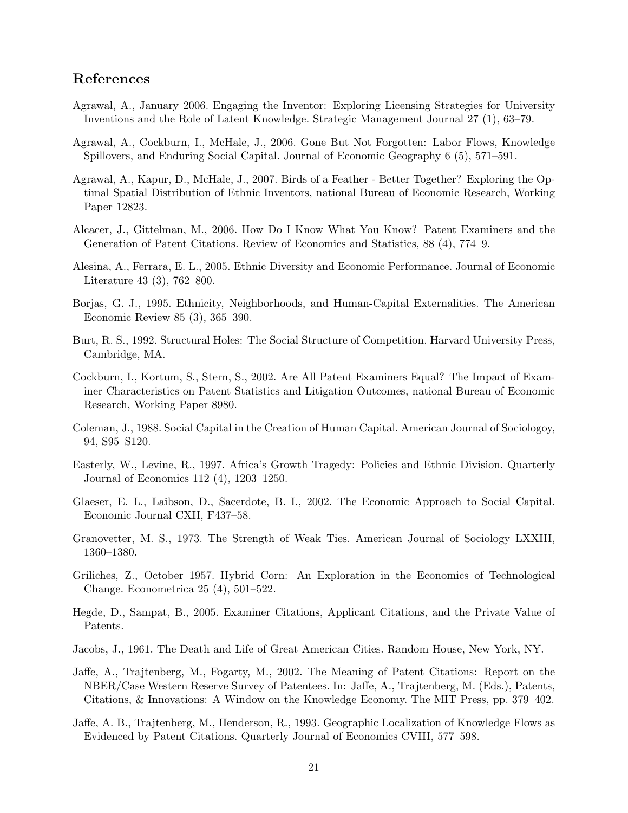## References

- Agrawal, A., January 2006. Engaging the Inventor: Exploring Licensing Strategies for University Inventions and the Role of Latent Knowledge. Strategic Management Journal 27 (1), 63–79.
- Agrawal, A., Cockburn, I., McHale, J., 2006. Gone But Not Forgotten: Labor Flows, Knowledge Spillovers, and Enduring Social Capital. Journal of Economic Geography 6 (5), 571–591.
- Agrawal, A., Kapur, D., McHale, J., 2007. Birds of a Feather Better Together? Exploring the Optimal Spatial Distribution of Ethnic Inventors, national Bureau of Economic Research, Working Paper 12823.
- Alcacer, J., Gittelman, M., 2006. How Do I Know What You Know? Patent Examiners and the Generation of Patent Citations. Review of Economics and Statistics, 88 (4), 774–9.
- Alesina, A., Ferrara, E. L., 2005. Ethnic Diversity and Economic Performance. Journal of Economic Literature 43 (3), 762–800.
- Borjas, G. J., 1995. Ethnicity, Neighborhoods, and Human-Capital Externalities. The American Economic Review 85 (3), 365–390.
- Burt, R. S., 1992. Structural Holes: The Social Structure of Competition. Harvard University Press, Cambridge, MA.
- Cockburn, I., Kortum, S., Stern, S., 2002. Are All Patent Examiners Equal? The Impact of Examiner Characteristics on Patent Statistics and Litigation Outcomes, national Bureau of Economic Research, Working Paper 8980.
- Coleman, J., 1988. Social Capital in the Creation of Human Capital. American Journal of Sociologoy, 94, S95–S120.
- Easterly, W., Levine, R., 1997. Africa's Growth Tragedy: Policies and Ethnic Division. Quarterly Journal of Economics 112 (4), 1203–1250.
- Glaeser, E. L., Laibson, D., Sacerdote, B. I., 2002. The Economic Approach to Social Capital. Economic Journal CXII, F437–58.
- Granovetter, M. S., 1973. The Strength of Weak Ties. American Journal of Sociology LXXIII, 1360–1380.
- Griliches, Z., October 1957. Hybrid Corn: An Exploration in the Economics of Technological Change. Econometrica 25 (4), 501–522.
- Hegde, D., Sampat, B., 2005. Examiner Citations, Applicant Citations, and the Private Value of Patents.
- Jacobs, J., 1961. The Death and Life of Great American Cities. Random House, New York, NY.
- Jaffe, A., Trajtenberg, M., Fogarty, M., 2002. The Meaning of Patent Citations: Report on the NBER/Case Western Reserve Survey of Patentees. In: Jaffe, A., Trajtenberg, M. (Eds.), Patents, Citations, & Innovations: A Window on the Knowledge Economy. The MIT Press, pp. 379–402.
- Jaffe, A. B., Trajtenberg, M., Henderson, R., 1993. Geographic Localization of Knowledge Flows as Evidenced by Patent Citations. Quarterly Journal of Economics CVIII, 577–598.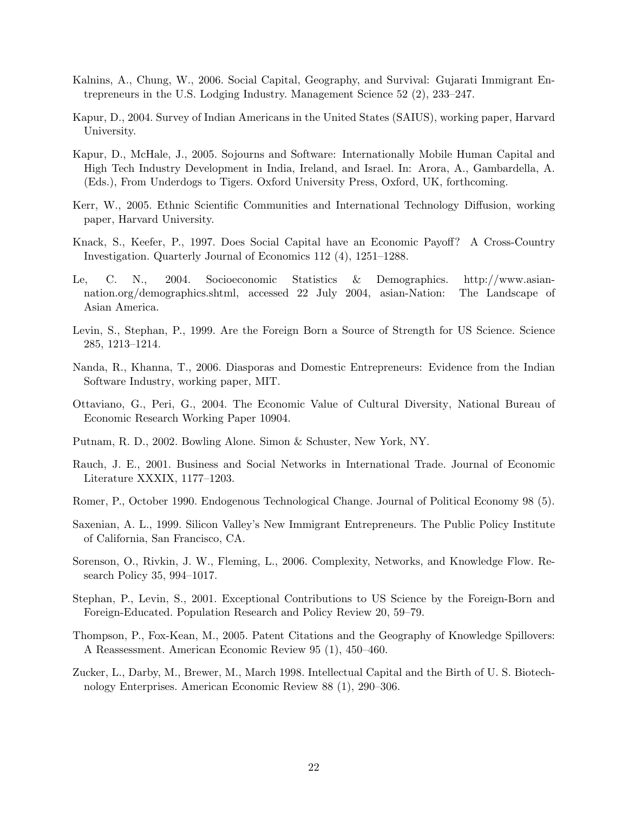- Kalnins, A., Chung, W., 2006. Social Capital, Geography, and Survival: Gujarati Immigrant Entrepreneurs in the U.S. Lodging Industry. Management Science 52 (2), 233–247.
- Kapur, D., 2004. Survey of Indian Americans in the United States (SAIUS), working paper, Harvard University.
- Kapur, D., McHale, J., 2005. Sojourns and Software: Internationally Mobile Human Capital and High Tech Industry Development in India, Ireland, and Israel. In: Arora, A., Gambardella, A. (Eds.), From Underdogs to Tigers. Oxford University Press, Oxford, UK, forthcoming.
- Kerr, W., 2005. Ethnic Scientific Communities and International Technology Diffusion, working paper, Harvard University.
- Knack, S., Keefer, P., 1997. Does Social Capital have an Economic Payoff? A Cross-Country Investigation. Quarterly Journal of Economics 112 (4), 1251–1288.
- Le, C. N., 2004. Socioeconomic Statistics & Demographics. http://www.asiannation.org/demographics.shtml, accessed 22 July 2004, asian-Nation: The Landscape of Asian America.
- Levin, S., Stephan, P., 1999. Are the Foreign Born a Source of Strength for US Science. Science 285, 1213–1214.
- Nanda, R., Khanna, T., 2006. Diasporas and Domestic Entrepreneurs: Evidence from the Indian Software Industry, working paper, MIT.
- Ottaviano, G., Peri, G., 2004. The Economic Value of Cultural Diversity, National Bureau of Economic Research Working Paper 10904.
- Putnam, R. D., 2002. Bowling Alone. Simon & Schuster, New York, NY.
- Rauch, J. E., 2001. Business and Social Networks in International Trade. Journal of Economic Literature XXXIX, 1177–1203.
- Romer, P., October 1990. Endogenous Technological Change. Journal of Political Economy 98 (5).
- Saxenian, A. L., 1999. Silicon Valley's New Immigrant Entrepreneurs. The Public Policy Institute of California, San Francisco, CA.
- Sorenson, O., Rivkin, J. W., Fleming, L., 2006. Complexity, Networks, and Knowledge Flow. Research Policy 35, 994–1017.
- Stephan, P., Levin, S., 2001. Exceptional Contributions to US Science by the Foreign-Born and Foreign-Educated. Population Research and Policy Review 20, 59–79.
- Thompson, P., Fox-Kean, M., 2005. Patent Citations and the Geography of Knowledge Spillovers: A Reassessment. American Economic Review 95 (1), 450–460.
- Zucker, L., Darby, M., Brewer, M., March 1998. Intellectual Capital and the Birth of U. S. Biotechnology Enterprises. American Economic Review 88 (1), 290–306.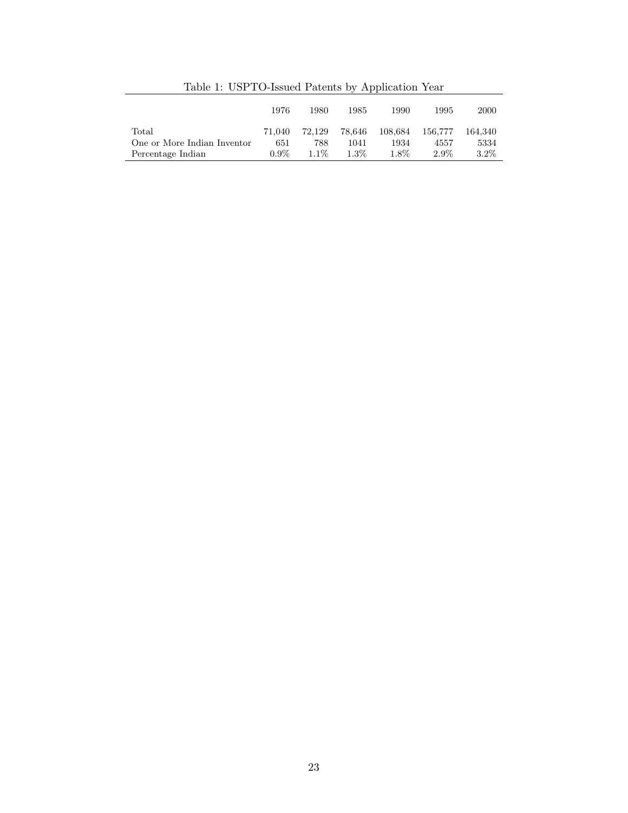|                             | 1976    | 1980    | 1985    | 1990    | 1995    | 2000    |
|-----------------------------|---------|---------|---------|---------|---------|---------|
| Total                       | 71.040  | 72.129  | 78.646  | 108,684 | 156.777 | 164.340 |
| One or More Indian Inventor | 651     | 788     | 1041    | 1934    | 4557    | 5334    |
| Percentage Indian           | $0.9\%$ | $1.1\%$ | $1.3\%$ | $1.8\%$ | $2.9\%$ | $3.2\%$ |

Table 1: USPTO-Issued Patents by Application Year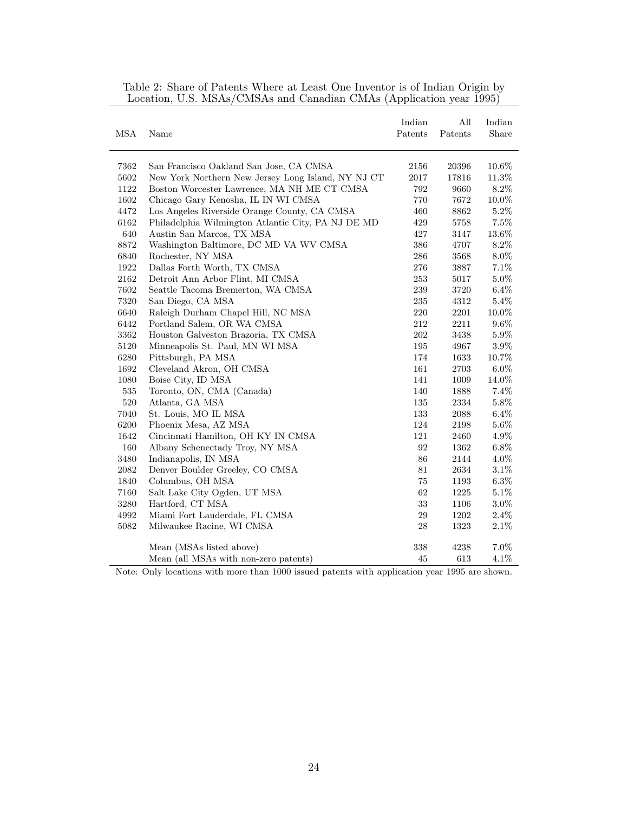| <b>MSA</b> | Name                                                                              | Indian<br>Patents | All<br>Patents          | Indian<br>Share |
|------------|-----------------------------------------------------------------------------------|-------------------|-------------------------|-----------------|
| 7362       | San Francisco Oakland San Jose, CA CMSA                                           | 2156              | 20396                   | 10.6%           |
| 5602       | New York Northern New Jersey Long Island, NY NJ CT                                | 2017              | 17816                   | $11.3\%$        |
| 1122       | Boston Worcester Lawrence, MA NH ME CT CMSA                                       | 792               | 9660                    | $8.2\%$         |
| 1602       | Chicago Gary Kenosha, IL IN WI CMSA                                               | 770               | 7672                    | $10.0\%$        |
| 4472       | Los Angeles Riverside Orange County, CA CMSA                                      | 460               | 8862                    | $5.2\%$         |
| 6162       | Philadelphia Wilmington Atlantic City, PA NJ DE MD                                | 429               | 5758                    | 7.5%            |
| 640        | Austin San Marcos, TX MSA                                                         | 427               | 3147                    | 13.6%           |
| 8872       | Washington Baltimore, DC MD VA WV CMSA                                            | 386               | 4707                    | $8.2\%$         |
| 6840       | Rochester, NY MSA                                                                 | 286               | 3568                    | $8.0\%$         |
| 1922       | Dallas Forth Worth, TX CMSA                                                       | 276               | 3887                    | 7.1%            |
| 2162       | Detroit Ann Arbor Flint, MI CMSA                                                  | 253               | 5017                    | $5.0\%$         |
| 7602       | Seattle Tacoma Bremerton, WA CMSA                                                 | 239               | 3720                    | $6.4\%$         |
| 7320       | San Diego, CA MSA                                                                 | 235               | 4312                    | $5.4\%$         |
| 6640       | Raleigh Durham Chapel Hill, NC MSA                                                | $220\,$           | 2201                    | $10.0\%$        |
| 6442       | Portland Salem, OR WA CMSA                                                        | 212               | $2211\,$                | 9.6%            |
| 3362       | Houston Galveston Brazoria, TX CMSA                                               | 202               | 3438                    | $5.9\%$         |
| 5120       | Minneapolis St. Paul, MN WI MSA                                                   | 195               | 4967                    | $3.9\%$         |
| 6280       | Pittsburgh, PA MSA                                                                | 174               | 1633                    | 10.7%           |
| 1692       | Cleveland Akron, OH CMSA                                                          | 161               | 2703                    | $6.0\%$         |
| 1080       | Boise City, ID MSA                                                                | 141               | 1009                    | 14.0%           |
| 535        | Toronto, ON, CMA (Canada)                                                         | 140               | 1888                    | 7.4%            |
| 520        | Atlanta, GA MSA                                                                   | 135               | 2334                    | $5.8\%$         |
| 7040       | St. Louis, MO IL MSA                                                              | 133               | 2088                    | $6.4\%$         |
| $6200\,$   | Phoenix Mesa, AZ MSA                                                              | 124               | 2198                    | $5.6\%$         |
| 1642       | Cincinnati Hamilton, OH KY IN CMSA                                                | 121               | 2460                    | $4.9\%$         |
| 160        | Albany Schenectady Troy, NY MSA                                                   | 92                | 1362                    | $6.8\%$         |
| 3480       | Indianapolis, IN MSA                                                              | 86                | 2144                    | 4.0%            |
| 2082       | Denver Boulder Greeley, CO CMSA                                                   | $81\,$            | 2634                    | $3.1\%$         |
| 1840       | Columbus, OH MSA                                                                  | $75\,$            | 1193                    | $6.3\%$         |
| 7160       | Salt Lake City Ogden, UT MSA                                                      | 62                | 1225                    | $5.1\%$         |
| 3280       | Hartford, CT MSA                                                                  | 33                | 1106                    | $3.0\%$         |
| 4992       | Miami Fort Lauderdale, FL CMSA                                                    | $\,29$            | 1202                    | $2.4\%$         |
| 5082       | Milwaukee Racine, WI CMSA                                                         | $\sqrt{28}$       | 1323                    | 2.1%            |
|            | Mean (MSAs listed above)                                                          | 338               | 4238                    | 7.0%            |
| <b>NT</b>  | Mean (all MSAs with non-zero patents)<br>$0.11$ $1.1$ $1.1$ $1000$<br>$\cdot$ . 1 | 45                | 613<br>100 <sub>F</sub> | 4.1%<br>п.      |

Table 2: Share of Patents Where at Least One Inventor is of Indian Origin by Location, U.S. MSAs/CMSAs and Canadian CMAs (Application year 1995)

Note: Only locations with more than 1000 issued patents with application year 1995 are shown.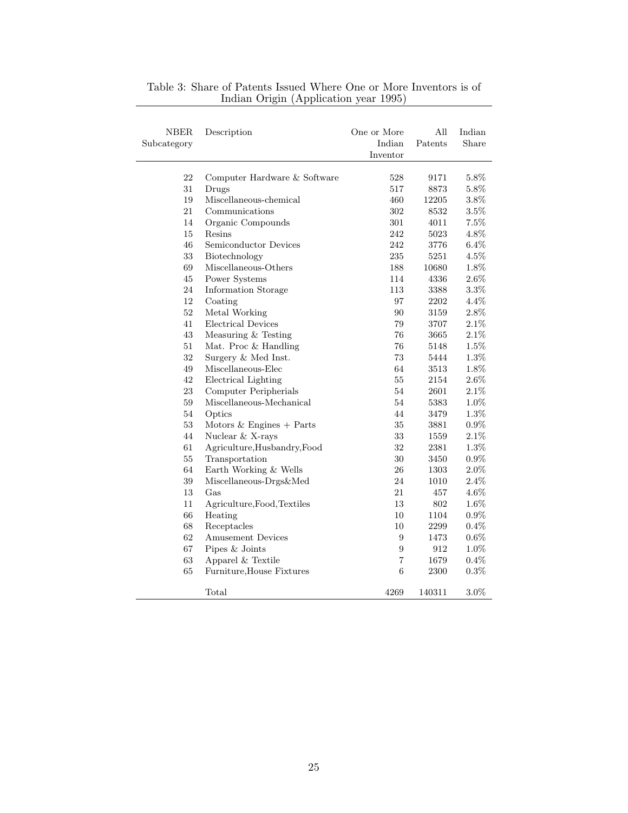| <b>NBER</b> | Description                  | One or More      | All       | Indian        |
|-------------|------------------------------|------------------|-----------|---------------|
| Subcategory |                              | Indian           | Patents   | ${\it Share}$ |
|             |                              | Inventor         |           |               |
|             |                              |                  |           |               |
| 22          | Computer Hardware & Software | 528              | 9171      | $5.8\%$       |
| $31\,$      | Drugs                        | 517              | 8873      | $5.8\%$       |
| 19          | Miscellaneous-chemical       | 460              | $12205\,$ | 3.8%          |
| 21          | Communications               | 302              | 8532      | $3.5\%$       |
| 14          | Organic Compounds            | $301\,$          | 4011      | $7.5\%$       |
| 15          | Resins                       | 242              | 5023      | 4.8%          |
| 46          | Semiconductor Devices        | 242              | 3776      | $6.4\%$       |
| $33\,$      | Biotechnology                | 235              | 5251      | $4.5\%$       |
| 69          | Miscellaneous-Others         | 188              | 10680     | 1.8%          |
| $45\,$      | Power Systems                | 114              | 4336      | $2.6\%$       |
| $24\,$      | Information Storage          | $113\,$          | 3388      | $3.3\%$       |
| 12          | Coating                      | 97               | 2202      | 4.4%          |
| $52\,$      | Metal Working                | 90               | 3159      | $2.8\%$       |
| 41          | <b>Electrical Devices</b>    | 79               | $3707\,$  | $2.1\%$       |
| 43          | Measuring & Testing          | 76               | 3665      | $2.1\%$       |
| $51\,$      | Mat. Proc & Handling         | 76               | 5148      | $1.5\%$       |
| 32          | Surgery & Med Inst.          | $73\,$           | 5444      | $1.3\%$       |
| 49          | Miscellaneous-Elec           | 64               | 3513      | $1.8\%$       |
| 42          | <b>Electrical Lighting</b>   | $55\,$           | 2154      | $2.6\%$       |
| 23          | Computer Peripherials        | $54\,$           | 2601      | $2.1\%$       |
| 59          | Miscellaneous-Mechanical     | 54               | 5383      | $1.0\%$       |
| $54\,$      | Optics                       | 44               | 3479      | $1.3\%$       |
| 53          | Motors $&$ Engines + Parts   | 35               | 3881      | $0.9\%$       |
| 44          | Nuclear & X-rays             | $33\,$           | 1559      | $2.1\%$       |
| 61          | Agriculture, Husbandry, Food | 32               | 2381      | $1.3\%$       |
| 55          | Transportation               | $30\,$           | 3450      | $0.9\%$       |
| 64          | Earth Working & Wells        | 26               | 1303      | 2.0%          |
| 39          | Miscellaneous-Drgs&Med       | 24               | 1010      | $2.4\%$       |
| 13          | Gas                          | 21               | 457       | $4.6\%$       |
| 11          | Agriculture, Food, Textiles  | 13               | 802       | $1.6\%$       |
| 66          | Heating                      | 10               | 1104      | $0.9\%$       |
| 68          | Receptacles                  | 10               | 2299      | $0.4\%$       |
| 62          | Amusement Devices            | 9                | 1473      | $0.6\%$       |
| 67          | Pipes & Joints               | $\boldsymbol{9}$ | 912       | $1.0\%$       |
| 63          | Apparel & Textile            | $\overline{7}$   | 1679      | $0.4\%$       |
| 65          | Furniture, House Fixtures    | 6                | 2300      | $0.3\%$       |
|             | $_{\rm Total}$               | 4269             | 140311    | $3.0\%$       |

#### Table 3: Share of Patents Issued Where One or More Inventors is of Indian Origin (Application year 1995)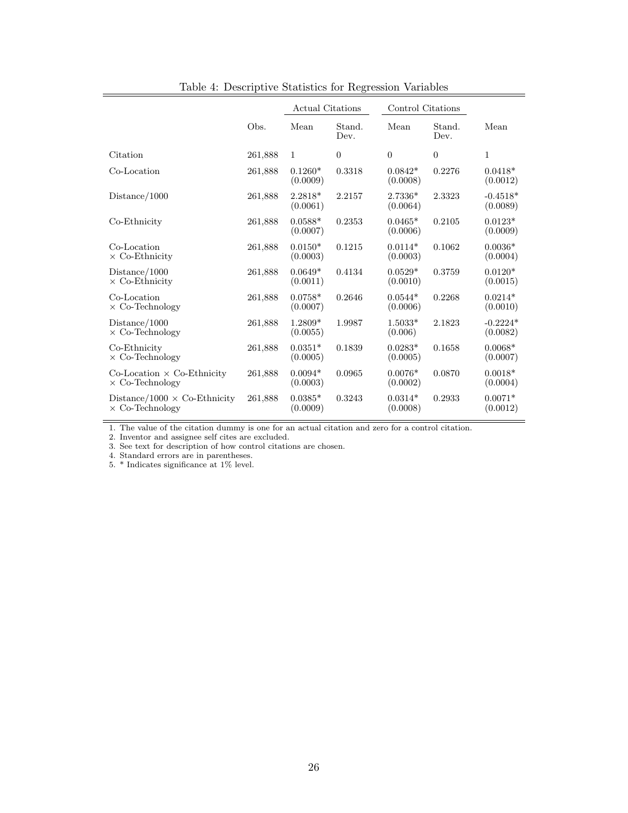|                                                               |         | <b>Actual Citations</b> |                | Control Citations     |                |                        |
|---------------------------------------------------------------|---------|-------------------------|----------------|-----------------------|----------------|------------------------|
|                                                               | Obs.    | Mean                    | Stand.<br>Dev. | Mean                  | Stand.<br>Dev. | Mean                   |
| Citation                                                      | 261,888 | $\mathbf{1}$            | $\overline{0}$ | $\Omega$              | $\theta$       | $\mathbf{1}$           |
| Co-Location                                                   | 261,888 | $0.1260*$<br>(0.0009)   | 0.3318         | $0.0842*$<br>(0.0008) | 0.2276         | $0.0418*$<br>(0.0012)  |
| Distance/1000                                                 | 261,888 | $2.2818*$<br>(0.0061)   | 2.2157         | $2.7336*$<br>(0.0064) | 2.3323         | $-0.4518*$<br>(0.0089) |
| Co-Ethnicity                                                  | 261,888 | $0.0588*$<br>(0.0007)   | 0.2353         | $0.0465*$<br>(0.0006) | 0.2105         | $0.0123*$<br>(0.0009)  |
| Co-Location<br>$\times$ Co-Ethnicity                          | 261,888 | $0.0150*$<br>(0.0003)   | 0.1215         | $0.0114*$<br>(0.0003) | 0.1062         | $0.0036*$<br>(0.0004)  |
| Distance/1000<br>$\times$ Co-Ethnicity                        | 261,888 | $0.0649*$<br>(0.0011)   | 0.4134         | $0.0529*$<br>(0.0010) | 0.3759         | $0.0120*$<br>(0.0015)  |
| Co-Location<br>$\times$ Co-Technology                         | 261,888 | $0.0758*$<br>(0.0007)   | 0.2646         | $0.0544*$<br>(0.0006) | 0.2268         | $0.0214*$<br>(0.0010)  |
| Distance/1000<br>$\times$ Co-Technology                       | 261,888 | $1.2809*$<br>(0.0055)   | 1.9987         | $1.5033*$<br>(0.006)  | 2.1823         | $-0.2224*$<br>(0.0082) |
| Co-Ethnicity<br>$\times$ Co-Technology                        | 261,888 | $0.0351*$<br>(0.0005)   | 0.1839         | $0.0283*$<br>(0.0005) | 0.1658         | $0.0068*$<br>(0.0007)  |
| $Co-Location \times Co-Ethnicity$<br>$\times$ Co-Technology   | 261,888 | $0.0094*$<br>(0.0003)   | 0.0965         | $0.0076*$<br>(0.0002) | 0.0870         | $0.0018*$<br>(0.0004)  |
| Distance/1000 $\times$ Co-Ethnicity<br>$\times$ Co-Technology | 261,888 | $0.0385*$<br>(0.0009)   | 0.3243         | $0.0314*$<br>(0.0008) | 0.2933         | $0.0071*$<br>(0.0012)  |

Table 4: Descriptive Statistics for Regression Variables

1. The value of the citation dummy is one for an actual citation and zero for a control citation.

2. Inventor and assignee self cites are excluded.

3. See text for description of how control citations are chosen.

4. Standard errors are in parentheses.

5. \* Indicates significance at 1% level.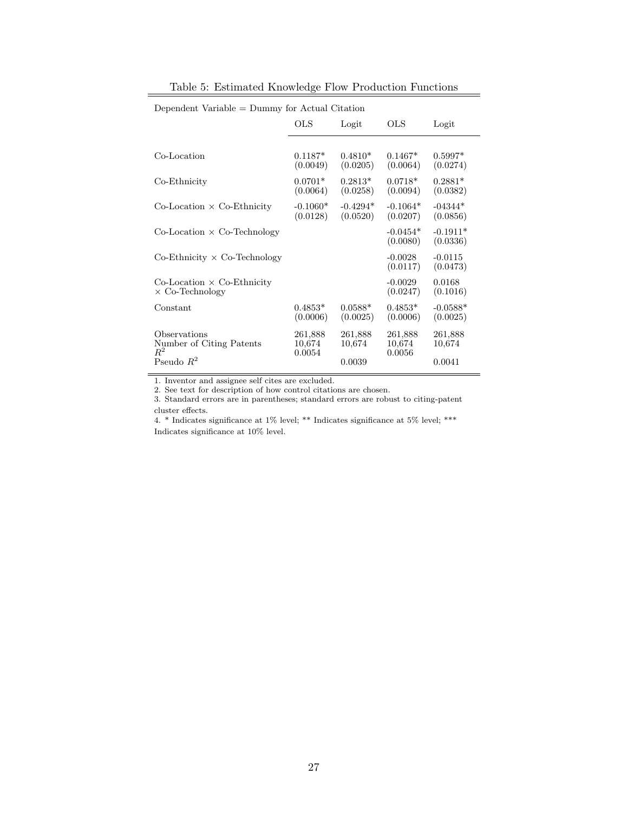| Dependent Variable $=$ Dummy for Actual Citation            |                        |                        |                        |                        |  |
|-------------------------------------------------------------|------------------------|------------------------|------------------------|------------------------|--|
|                                                             | <b>OLS</b>             | Logit                  | $_{\rm OLS}$           | Logit                  |  |
|                                                             |                        |                        |                        |                        |  |
| Co-Location                                                 | $0.1187*$<br>(0.0049)  | $0.4810*$<br>(0.0205)  | $0.1467*$<br>(0.0064)  | $0.5997*$<br>(0.0274)  |  |
| Co-Ethnicity                                                | $0.0701*$<br>(0.0064)  | $0.2813*$<br>(0.0258)  | $0.0718*$<br>(0.0094)  | $0.2881*$<br>(0.0382)  |  |
| $Co-Location \times Co-Ethnicity$                           | $-0.1060*$<br>(0.0128) | $-0.4294*$<br>(0.0520) | $-0.1064*$<br>(0.0207) | $-04344*$<br>(0.0856)  |  |
| $Co\text{-Location} \times Co\text{-Technology}$            |                        |                        | $-0.0454*$<br>(0.0080) | $-0.1911*$<br>(0.0336) |  |
| $Co-Ethnicity \times Co-Technology$                         |                        |                        | $-0.0028$<br>(0.0117)  | $-0.0115$<br>(0.0473)  |  |
| $Co-Location \times Co-Ethnicity$<br>$\times$ Co-Technology |                        |                        | $-0.0029$<br>(0.0247)  | 0.0168<br>(0.1016)     |  |
| Constant                                                    | $0.4853*$<br>(0.0006)  | $0.0588*$<br>(0.0025)  | $0.4853*$<br>(0.0006)  | $-0.0588*$<br>(0.0025) |  |
| Observations<br>Number of Citing Patents<br>$\,R^2$         | 261,888<br>10,674      | 261,888<br>10,674      | 261,888<br>10,674      | 261,888<br>10,674      |  |
| Pseudo $R^2$                                                | 0.0054                 | 0.0039                 | 0.0056                 | 0.0041                 |  |

Table 5: Estimated Knowledge Flow Production Functions

 $D = 1 + W^{-1}1$   $D = 0$   $A + 1$  Citation

1. Inventor and assignee self cites are excluded.

2. See text for description of how control citations are chosen.

3. Standard errors are in parentheses; standard errors are robust to citing-patent cluster effects.

4.  $^*$  Indicates significance at 1% level;  $^{**}$  Indicates significance at 5% level;  $^{***}$ Indicates significance at 10% level.